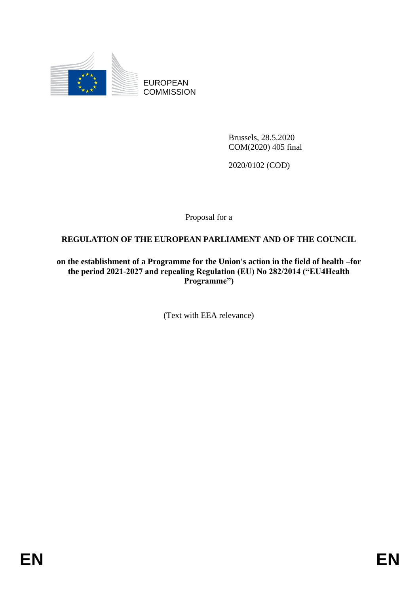

EUROPEAN **COMMISSION** 

> Brussels, 28.5.2020 COM(2020) 405 final

2020/0102 (COD)

Proposal for a

## **REGULATION OF THE EUROPEAN PARLIAMENT AND OF THE COUNCIL**

**on the establishment of a Programme for the Union's action in the field of health –for the period 2021-2027 and repealing Regulation (EU) No 282/2014 ("EU4Health Programme")**

(Text with EEA relevance)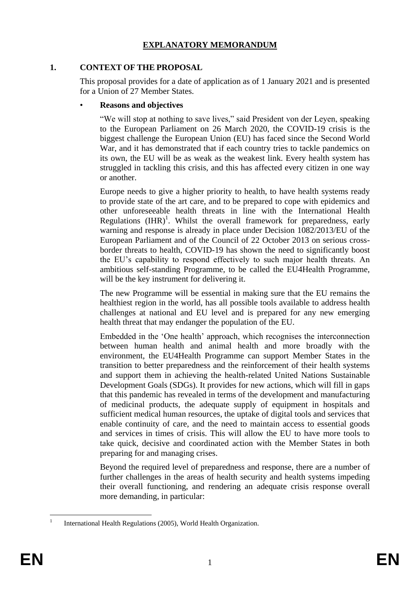## **EXPLANATORY MEMORANDUM**

## **1. CONTEXT OF THE PROPOSAL**

This proposal provides for a date of application as of 1 January 2021 and is presented for a Union of 27 Member States.

## • **Reasons and objectives**

"We will stop at nothing to save lives," said President von der Leyen, speaking to the European Parliament on 26 March 2020, the COVID-19 crisis is the biggest challenge the European Union (EU) has faced since the Second World War, and it has demonstrated that if each country tries to tackle pandemics on its own, the EU will be as weak as the weakest link. Every health system has struggled in tackling this crisis, and this has affected every citizen in one way or another.

Europe needs to give a higher priority to health, to have health systems ready to provide state of the art care, and to be prepared to cope with epidemics and other unforeseeable health threats in line with the International Health Regulations  $(HIR)^1$ . Whilst the overall framework for preparedness, early warning and response is already in place under Decision 1082/2013/EU of the European Parliament and of the Council of 22 October 2013 on serious crossborder threats to health, COVID-19 has shown the need to significantly boost the EU's capability to respond effectively to such major health threats. An ambitious self-standing Programme, to be called the EU4Health Programme, will be the key instrument for delivering it.

The new Programme will be essential in making sure that the EU remains the healthiest region in the world, has all possible tools available to address health challenges at national and EU level and is prepared for any new emerging health threat that may endanger the population of the EU.

Embedded in the 'One health' approach, which recognises the interconnection between human health and animal health and more broadly with the environment, the EU4Health Programme can support Member States in the transition to better preparedness and the reinforcement of their health systems and support them in achieving the health-related United Nations Sustainable Development Goals (SDGs). It provides for new actions, which will fill in gaps that this pandemic has revealed in terms of the development and manufacturing of medicinal products, the adequate supply of equipment in hospitals and sufficient medical human resources, the uptake of digital tools and services that enable continuity of care, and the need to maintain access to essential goods and services in times of crisis. This will allow the EU to have more tools to take quick, decisive and coordinated action with the Member States in both preparing for and managing crises.

Beyond the required level of preparedness and response, there are a number of further challenges in the areas of health security and health systems impeding their overall functioning, and rendering an adequate crisis response overall more demanding, in particular:

<sup>1</sup> 1 International Health Regulations (2005), World Health Organization.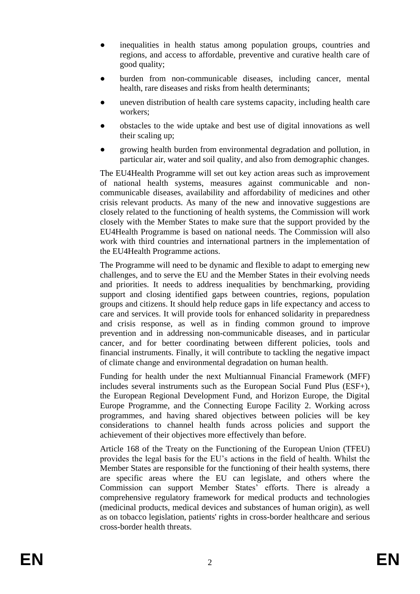- inequalities in health status among population groups, countries and regions, and access to affordable, preventive and curative health care of good quality;
- burden from non-communicable diseases, including cancer, mental health, rare diseases and risks from health determinants;
- uneven distribution of health care systems capacity, including health care workers;
- obstacles to the wide uptake and best use of digital innovations as well their scaling up;
- growing health burden from environmental degradation and pollution, in particular air, water and soil quality, and also from demographic changes.

The EU4Health Programme will set out key action areas such as improvement of national health systems, measures against communicable and noncommunicable diseases, availability and affordability of medicines and other crisis relevant products. As many of the new and innovative suggestions are closely related to the functioning of health systems, the Commission will work closely with the Member States to make sure that the support provided by the EU4Health Programme is based on national needs. The Commission will also work with third countries and international partners in the implementation of the EU4Health Programme actions.

The Programme will need to be dynamic and flexible to adapt to emerging new challenges, and to serve the EU and the Member States in their evolving needs and priorities. It needs to address inequalities by benchmarking, providing support and closing identified gaps between countries, regions, population groups and citizens. It should help reduce gaps in life expectancy and access to care and services. It will provide tools for enhanced solidarity in preparedness and crisis response, as well as in finding common ground to improve prevention and in addressing non-communicable diseases, and in particular cancer, and for better coordinating between different policies, tools and financial instruments. Finally, it will contribute to tackling the negative impact of climate change and environmental degradation on human health.

Funding for health under the next Multiannual Financial Framework (MFF) includes several instruments such as the European Social Fund Plus (ESF+), the European Regional Development Fund, and Horizon Europe, the Digital Europe Programme, and the Connecting Europe Facility 2. Working across programmes, and having shared objectives between policies will be key considerations to channel health funds across policies and support the achievement of their objectives more effectively than before.

Article 168 of the Treaty on the Functioning of the European Union (TFEU) provides the legal basis for the EU's actions in the field of health. Whilst the Member States are responsible for the functioning of their health systems, there are specific areas where the EU can legislate, and others where the Commission can support Member States' efforts. There is already a comprehensive regulatory framework for medical products and technologies (medicinal products, medical devices and substances of human origin), as well as on tobacco legislation, patients' rights in cross-border healthcare and serious cross-border health threats.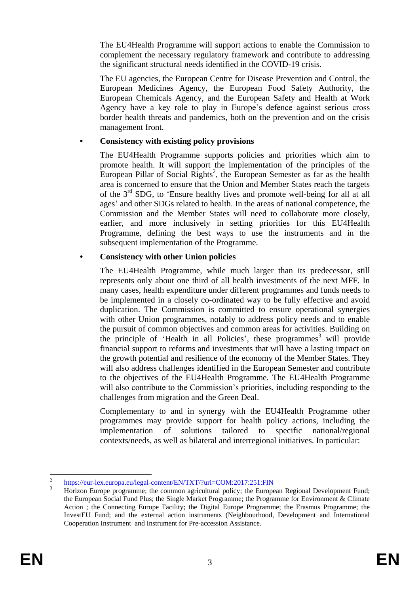The EU4Health Programme will support actions to enable the Commission to complement the necessary regulatory framework and contribute to addressing the significant structural needs identified in the COVID-19 crisis.

The EU agencies, the European Centre for Disease Prevention and Control, the European Medicines Agency, the European Food Safety Authority, the European Chemicals Agency, and the European Safety and Health at Work Agency have a key role to play in Europe's defence against serious cross border health threats and pandemics, both on the prevention and on the crisis management front.

## **• Consistency with existing policy provisions**

The EU4Health Programme supports policies and priorities which aim to promote health. It will support the implementation of the principles of the European Pillar of Social Rights<sup>2</sup>, the European Semester as far as the health area is concerned to ensure that the Union and Member States reach the targets of the  $3<sup>rd</sup>$  SDG, to 'Ensure healthy lives and promote well-being for all at all ages' and other SDGs related to health. In the areas of national competence, the Commission and the Member States will need to collaborate more closely, earlier, and more inclusively in setting priorities for this EU4Health Programme, defining the best ways to use the instruments and in the subsequent implementation of the Programme.

## **• Consistency with other Union policies**

The EU4Health Programme, while much larger than its predecessor, still represents only about one third of all health investments of the next MFF. In many cases, health expenditure under different programmes and funds needs to be implemented in a closely co-ordinated way to be fully effective and avoid duplication. The Commission is committed to ensure operational synergies with other Union programmes, notably to address policy needs and to enable the pursuit of common objectives and common areas for activities. Building on the principle of 'Health in all Policies', these programmes<sup>3</sup> will provide financial support to reforms and investments that will have a lasting impact on the growth potential and resilience of the economy of the Member States. They will also address challenges identified in the European Semester and contribute to the objectives of the EU4Health Programme. The EU4Health Programme will also contribute to the Commission's priorities, including responding to the challenges from migration and the Green Deal.

Complementary to and in synergy with the EU4Health Programme other programmes may provide support for health policy actions, including the implementation of solutions tailored to specific national/regional contexts/needs, as well as bilateral and interregional initiatives. In particular:

<sup>&</sup>lt;u>.</u>  $\overline{2}$ <https://eur-lex.europa.eu/legal-content/EN/TXT/?uri=COM:2017:251:FIN>

<sup>&</sup>lt;sup>3</sup> Horizon Europe programme; the common agricultural policy; the European Regional Development Fund; the European Social Fund Plus; the Single Market Programme; the Programme for Environment & Climate Action ; the Connecting Europe Facility; the Digital Europe Programme; the Erasmus Programme; the InvestEU Fund; and the external action instruments (Neighbourhood, Development and International Cooperation Instrument and Instrument for Pre-accession Assistance.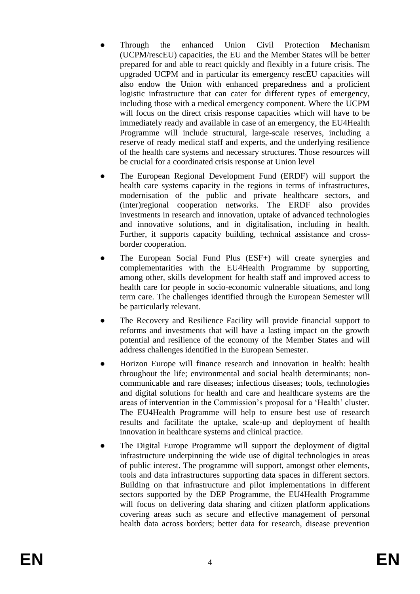- Through the enhanced Union Civil Protection Mechanism (UCPM/rescEU) capacities, the EU and the Member States will be better prepared for and able to react quickly and flexibly in a future crisis. The upgraded UCPM and in particular its emergency rescEU capacities will also endow the Union with enhanced preparedness and a proficient logistic infrastructure that can cater for different types of emergency, including those with a medical emergency component. Where the UCPM will focus on the direct crisis response capacities which will have to be immediately ready and available in case of an emergency, the EU4Health Programme will include structural, large-scale reserves, including a reserve of ready medical staff and experts, and the underlying resilience of the health care systems and necessary structures. Those resources will be crucial for a coordinated crisis response at Union level
- The European Regional Development Fund (ERDF) will support the health care systems capacity in the regions in terms of infrastructures, modernisation of the public and private healthcare sectors, and (inter)regional cooperation networks. The ERDF also provides investments in research and innovation, uptake of advanced technologies and innovative solutions, and in digitalisation, including in health. Further, it supports capacity building, technical assistance and crossborder cooperation.
- The European Social Fund Plus (ESF+) will create synergies and complementarities with the EU4Health Programme by supporting, among other, skills development for health staff and improved access to health care for people in socio-economic vulnerable situations, and long term care. The challenges identified through the European Semester will be particularly relevant.
- The Recovery and Resilience Facility will provide financial support to reforms and investments that will have a lasting impact on the growth potential and resilience of the economy of the Member States and will address challenges identified in the European Semester.
- Horizon Europe will finance research and innovation in health: health throughout the life; environmental and social health determinants; noncommunicable and rare diseases; infectious diseases; tools, technologies and digital solutions for health and care and healthcare systems are the areas of intervention in the Commission's proposal for a 'Health' cluster. The EU4Health Programme will help to ensure best use of research results and facilitate the uptake, scale-up and deployment of health innovation in healthcare systems and clinical practice.
- The Digital Europe Programme will support the deployment of digital infrastructure underpinning the wide use of digital technologies in areas of public interest. The programme will support, amongst other elements, tools and data infrastructures supporting data spaces in different sectors. Building on that infrastructure and pilot implementations in different sectors supported by the DEP Programme, the EU4Health Programme will focus on delivering data sharing and citizen platform applications covering areas such as secure and effective management of personal health data across borders; better data for research, disease prevention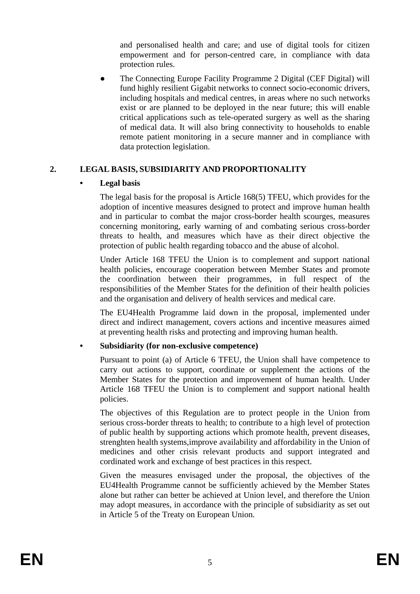and personalised health and care; and use of digital tools for citizen empowerment and for person-centred care, in compliance with data protection rules.

The Connecting Europe Facility Programme 2 Digital (CEF Digital) will fund highly resilient Gigabit networks to connect socio-economic drivers, including hospitals and medical centres, in areas where no such networks exist or are planned to be deployed in the near future; this will enable critical applications such as tele-operated surgery as well as the sharing of medical data. It will also bring connectivity to households to enable remote patient monitoring in a secure manner and in compliance with data protection legislation.

# **2. LEGAL BASIS, SUBSIDIARITY AND PROPORTIONALITY**

## **• Legal basis**

The legal basis for the proposal is Article 168(5) TFEU, which provides for the adoption of incentive measures designed to protect and improve human health and in particular to combat the major cross-border health scourges, measures concerning monitoring, early warning of and combating serious cross-border threats to health, and measures which have as their direct objective the protection of public health regarding tobacco and the abuse of alcohol.

Under Article 168 TFEU the Union is to complement and support national health policies, encourage cooperation between Member States and promote the coordination between their programmes, in full respect of the responsibilities of the Member States for the definition of their health policies and the organisation and delivery of health services and medical care.

The EU4Health Programme laid down in the proposal, implemented under direct and indirect management, covers actions and incentive measures aimed at preventing health risks and protecting and improving human health.

## **• Subsidiarity (for non-exclusive competence)**

Pursuant to point (a) of Article 6 TFEU, the Union shall have competence to carry out actions to support, coordinate or supplement the actions of the Member States for the protection and improvement of human health. Under Article 168 TFEU the Union is to complement and support national health policies.

The objectives of this Regulation are to protect people in the Union from serious cross-border threats to health; to contribute to a high level of protection of public health by supporting actions which promote health, prevent diseases, strenghten health systems,improve availability and affordability in the Union of medicines and other crisis relevant products and support integrated and cordinated work and exchange of best practices in this respect.

Given the measures envisaged under the proposal, the objectives of the EU4Health Programme cannot be sufficiently achieved by the Member States alone but rather can better be achieved at Union level, and therefore the Union may adopt measures, in accordance with the principle of subsidiarity as set out in Article 5 of the Treaty on European Union.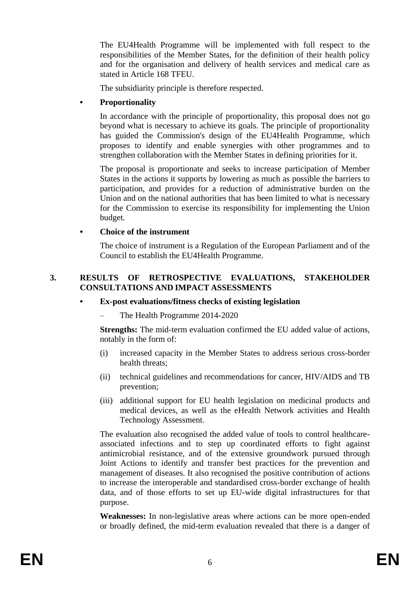The EU4Health Programme will be implemented with full respect to the responsibilities of the Member States, for the definition of their health policy and for the organisation and delivery of health services and medical care as stated in Article 168 TFEU.

The subsidiarity principle is therefore respected.

## **• Proportionality**

In accordance with the principle of proportionality, this proposal does not go beyond what is necessary to achieve its goals. The principle of proportionality has guided the Commission's design of the EU4Health Programme, which proposes to identify and enable synergies with other programmes and to strengthen collaboration with the Member States in defining priorities for it.

The proposal is proportionate and seeks to increase participation of Member States in the actions it supports by lowering as much as possible the barriers to participation, and provides for a reduction of administrative burden on the Union and on the national authorities that has been limited to what is necessary for the Commission to exercise its responsibility for implementing the Union budget.

## **• Choice of the instrument**

The choice of instrument is a Regulation of the European Parliament and of the Council to establish the EU4Health Programme.

#### **3. RESULTS OF RETROSPECTIVE EVALUATIONS, STAKEHOLDER CONSULTATIONS AND IMPACT ASSESSMENTS**

#### **• Ex-post evaluations/fitness checks of existing legislation**

– The Health Programme 2014-2020

**Strengths:** The mid-term evaluation confirmed the EU added value of actions, notably in the form of:

- (i) increased capacity in the Member States to address serious cross-border health threats;
- (ii) technical guidelines and recommendations for cancer, HIV/AIDS and TB prevention;
- (iii) additional support for EU health legislation on medicinal products and medical devices, as well as the eHealth Network activities and Health Technology Assessment.

The evaluation also recognised the added value of tools to control healthcareassociated infections and to step up coordinated efforts to fight against antimicrobial resistance, and of the extensive groundwork pursued through Joint Actions to identify and transfer best practices for the prevention and management of diseases. It also recognised the positive contribution of actions to increase the interoperable and standardised cross-border exchange of health data, and of those efforts to set up EU-wide digital infrastructures for that purpose.

**Weaknesses:** In non-legislative areas where actions can be more open-ended or broadly defined, the mid-term evaluation revealed that there is a danger of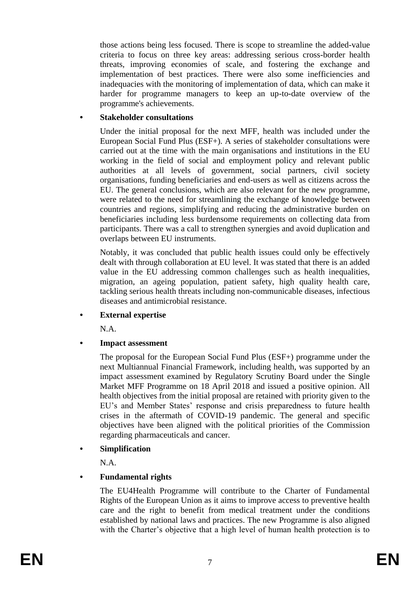those actions being less focused. There is scope to streamline the added-value criteria to focus on three key areas: addressing serious cross-border health threats, improving economies of scale, and fostering the exchange and implementation of best practices. There were also some inefficiencies and inadequacies with the monitoring of implementation of data, which can make it harder for programme managers to keep an up-to-date overview of the programme's achievements.

## **• Stakeholder consultations**

Under the initial proposal for the next MFF, health was included under the European Social Fund Plus (ESF+). A series of stakeholder consultations were carried out at the time with the main organisations and institutions in the EU working in the field of social and employment policy and relevant public authorities at all levels of government, social partners, civil society organisations, funding beneficiaries and end-users as well as citizens across the EU. The general conclusions, which are also relevant for the new programme, were related to the need for streamlining the exchange of knowledge between countries and regions, simplifying and reducing the administrative burden on beneficiaries including less burdensome requirements on collecting data from participants. There was a call to strengthen synergies and avoid duplication and overlaps between EU instruments.

Notably, it was concluded that public health issues could only be effectively dealt with through collaboration at EU level. It was stated that there is an added value in the EU addressing common challenges such as health inequalities, migration, an ageing population, patient safety, high quality health care, tackling serious health threats including non-communicable diseases, infectious diseases and antimicrobial resistance.

**• External expertise**

N.A.

**• Impact assessment**

The proposal for the European Social Fund Plus (ESF+) programme under the next Multiannual Financial Framework, including health, was supported by an impact assessment examined by Regulatory Scrutiny Board under the Single Market MFF Programme on 18 April 2018 and issued a positive opinion. All health objectives from the initial proposal are retained with priority given to the EU's and Member States' response and crisis preparedness to future health crises in the aftermath of COVID-19 pandemic. The general and specific objectives have been aligned with the political priorities of the Commission regarding pharmaceuticals and cancer.

**• Simplification**

N.A.

## **• Fundamental rights**

The EU4Health Programme will contribute to the Charter of Fundamental Rights of the European Union as it aims to improve access to preventive health care and the right to benefit from medical treatment under the conditions established by national laws and practices. The new Programme is also aligned with the Charter's objective that a high level of human health protection is to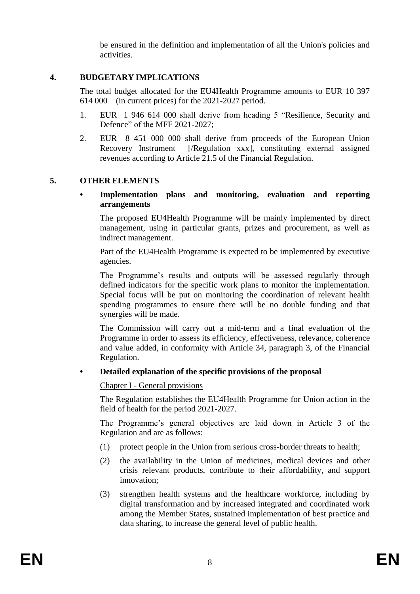be ensured in the definition and implementation of all the Union's policies and activities.

## **4. BUDGETARY IMPLICATIONS**

The total budget allocated for the EU4Health Programme amounts to EUR 10 397 614 000 (in current prices) for the 2021-2027 period.

- 1. EUR 1 946 614 000 shall derive from heading 5 "Resilience, Security and Defence" of the MFF 2021-2027;
- 2. EUR 8 451 000 000 shall derive from proceeds of the European Union Recovery Instrument [/Regulation xxx], constituting external assigned revenues according to Article 21.5 of the Financial Regulation.

## **5. OTHER ELEMENTS**

#### **• Implementation plans and monitoring, evaluation and reporting arrangements**

The proposed EU4Health Programme will be mainly implemented by direct management, using in particular grants, prizes and procurement, as well as indirect management.

Part of the EU4Health Programme is expected to be implemented by executive agencies.

The Programme's results and outputs will be assessed regularly through defined indicators for the specific work plans to monitor the implementation. Special focus will be put on monitoring the coordination of relevant health spending programmes to ensure there will be no double funding and that synergies will be made.

The Commission will carry out a mid-term and a final evaluation of the Programme in order to assess its efficiency, effectiveness, relevance, coherence and value added, in conformity with Article 34, paragraph 3, of the Financial Regulation.

#### **• Detailed explanation of the specific provisions of the proposal**

Chapter I - General provisions

The Regulation establishes the EU4Health Programme for Union action in the field of health for the period 2021-2027.

The Programme's general objectives are laid down in Article 3 of the Regulation and are as follows:

- (1) protect people in the Union from serious cross-border threats to health;
- (2) the availability in the Union of medicines, medical devices and other crisis relevant products, contribute to their affordability, and support innovation;
- (3) strengthen health systems and the healthcare workforce, including by digital transformation and by increased integrated and coordinated work among the Member States, sustained implementation of best practice and data sharing, to increase the general level of public health.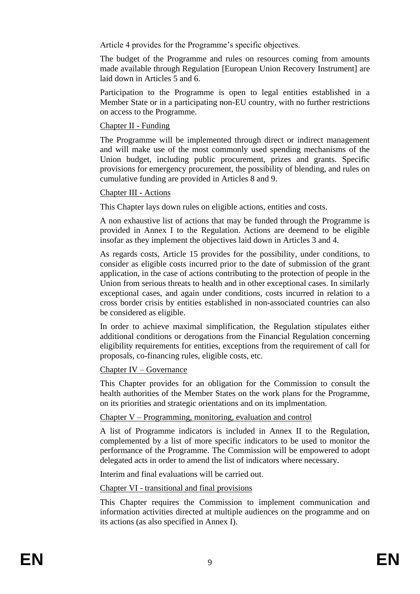Article 4 provides for the Programme's specific objectives.

The budget of the Programme and rules on resources coming from amounts made available through Regulation [European Union Recovery Instrument] are laid down in Articles 5 and 6.

Participation to the Programme is open to legal entities established in a Member State or in a participating non-EU country, with no further restrictions on access to the Programme.

## Chapter II - Funding

The Programme will be implemented through direct or indirect management and will make use of the most commonly used spending mechanisms of the Union budget, including public procurement, prizes and grants. Specific provisions for emergency procurement, the possibility of blending, and rules on cumulative funding are provided in Articles 8 and 9.

## Chapter III - Actions

This Chapter lays down rules on eligible actions, entities and costs.

A non exhaustive list of actions that may be funded through the Programme is provided in Annex I to the Regulation. Actions are deemend to be eligible insofar as they implement the objectives laid down in Articles 3 and 4.

As regards costs, Article 15 provides for the possibility, under conditions, to consider as eligible costs incurred prior to the date of submission of the grant application, in the case of actions contributing to the protection of people in the Union from serious threats to health and in other exceptional cases. In similarly exceptional cases, and again under conditions, costs incurred in relation to a cross border crisis by entities established in non-associated countries can also be considered as eligible.

In order to achieve maximal simplification, the Regulation stipulates either additional conditions or derogations from the Financial Regulation concerning eligibility requirements for entities, exceptions from the requirement of call for proposals, co-financing rules, eligible costs, etc.

## Chapter IV – Governance

This Chapter provides for an obligation for the Commission to consult the health authorities of the Member States on the work plans for the Programme, on its priorities and strategic orientations and on its implmentation.

## Chapter V – Programming, monitoring, evaluation and control

A list of Programme indicators is included in Annex II to the Regulation, complemented by a list of more specific indicators to be used to monitor the performance of the Programme. The Commission will be empowered to adopt delegated acts in order to amend the list of indicators where necessary.

Interim and final evaluations will be carried out.

Chapter VI - transitional and final provisions

This Chapter requires the Commission to implement communication and information activities directed at multiple audiences on the programme and on its actions (as also specified in Annex I).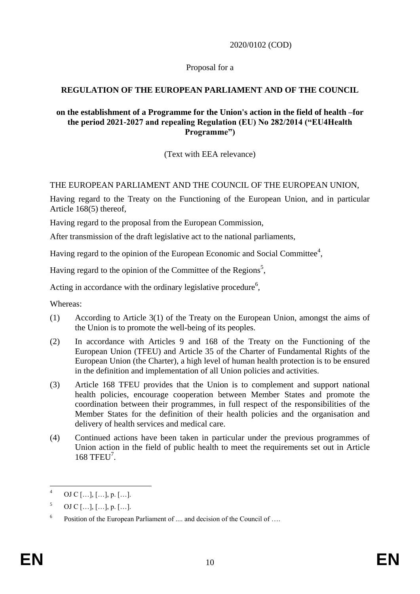2020/0102 (COD)

Proposal for a

# **REGULATION OF THE EUROPEAN PARLIAMENT AND OF THE COUNCIL**

## **on the establishment of a Programme for the Union's action in the field of health –for the period 2021-2027 and repealing Regulation (EU) No 282/2014 ("EU4Health Programme")**

(Text with EEA relevance)

# THE EUROPEAN PARLIAMENT AND THE COUNCIL OF THE EUROPEAN UNION,

Having regard to the Treaty on the Functioning of the European Union, and in particular Article 168(5) thereof,

Having regard to the proposal from the European Commission,

After transmission of the draft legislative act to the national parliaments,

Having regard to the opinion of the European Economic and Social Committee<sup>4</sup>,

Having regard to the opinion of the Committee of the Regions<sup>5</sup>,

Acting in accordance with the ordinary legislative procedure<sup>6</sup>,

Whereas:

- (1) According to Article 3(1) of the Treaty on the European Union, amongst the aims of the Union is to promote the well-being of its peoples.
- (2) In accordance with Articles 9 and 168 of the Treaty on the Functioning of the European Union (TFEU) and Article 35 of the Charter of Fundamental Rights of the European Union (the Charter), a high level of human health protection is to be ensured in the definition and implementation of all Union policies and activities.
- (3) Article 168 TFEU provides that the Union is to complement and support national health policies, encourage cooperation between Member States and promote the coordination between their programmes, in full respect of the responsibilities of the Member States for the definition of their health policies and the organisation and delivery of health services and medical care.
- (4) Continued actions have been taken in particular under the previous programmes of Union action in the field of public health to meet the requirements set out in Article 168 TFEU<sup>7</sup>.

 $\overline{4}$ OJ C  $[...]$ ,  $[...]$ , p.  $[...]$ .

 $5$  OJ C [...], [...], p. [...].

<sup>6</sup> Position of the European Parliament of .... and decision of the Council of ….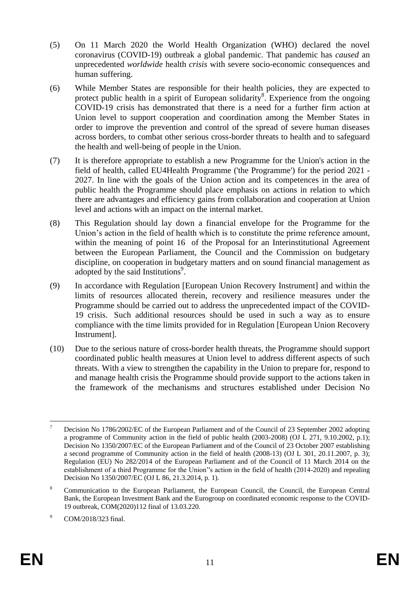- (5) On 11 March 2020 the World Health Organization (WHO) declared the novel coronavirus (COVID-19) outbreak a global pandemic. That pandemic has *caused* an unprecedented *worldwide* health *crisis* with severe socio-economic consequences and human suffering.
- (6) While Member States are responsible for their health policies, they are expected to protect public health in a spirit of European solidarity<sup>8</sup>. Experience from the ongoing COVID-19 crisis has demonstrated that there is a need for a further firm action at Union level to support cooperation and coordination among the Member States in order to improve the prevention and control of the spread of severe human diseases across borders, to combat other serious cross-border threats to health and to safeguard the health and well-being of people in the Union.
- (7) It is therefore appropriate to establish a new Programme for the Union's action in the field of health, called EU4Health Programme ('the Programme') for the period 2021 - 2027. In line with the goals of the Union action and its competences in the area of public health the Programme should place emphasis on actions in relation to which there are advantages and efficiency gains from collaboration and cooperation at Union level and actions with an impact on the internal market.
- (8) This Regulation should lay down a financial envelope for the Programme for the Union's action in the field of health which is to constitute the prime reference amount, within the meaning of point 16 of the Proposal for an Interinstitutional Agreement between the European Parliament, the Council and the Commission on budgetary discipline, on cooperation in budgetary matters and on sound financial management as adopted by the said Institutions<sup>9</sup>.
- (9) In accordance with Regulation [European Union Recovery Instrument] and within the limits of resources allocated therein, recovery and resilience measures under the Programme should be carried out to address the unprecedented impact of the COVID-19 crisis. Such additional resources should be used in such a way as to ensure compliance with the time limits provided for in Regulation [European Union Recovery Instrument].
- (10) Due to the serious nature of cross-border health threats, the Programme should support coordinated public health measures at Union level to address different aspects of such threats. With a view to strengthen the capability in the Union to prepare for, respond to and manage health crisis the Programme should provide support to the actions taken in the framework of the mechanisms and structures established under Decision No

<sup>1</sup> <sup>7</sup> Decision No 1786/2002/EC of the European Parliament and of the Council of 23 September 2002 adopting a programme of Community action in the field of public health (2003-2008) (OJ L 271, 9.10.2002, p.1); Decision No 1350/2007/EC of the European Parliament and of the Council of 23 October 2007 establishing a second programme of Community action in the field of health (2008-13) [\(OJ L 301, 20.11.2007, p. 3\)](https://eur-lex.europa.eu/legal-content/EN/AUTO/?uri=OJ:L:2007:301:TOC); Regulation (EU) No 282/2014 of the European Parliament and of the Council of 11 March 2014 on the establishment of a third Programme for the Union''s action in the field of health (2014-2020) and repealing Decision No 1350/2007/EC (OJ L 86, 21.3.2014, p. 1).

<sup>&</sup>lt;sup>8</sup> Communication to the European Parliament, the European Council, the Council, the European Central Bank, the European Investment Bank and the Eurogroup on coordinated economic response to the COVID-19 outbreak, COM(2020)112 final of 13.03.220.

<sup>9</sup> COM/2018/323 final.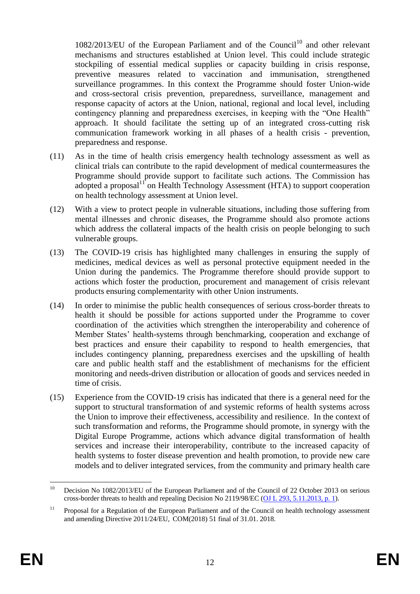$1082/2013/EU$  of the European Parliament and of the Council<sup>10</sup> and other relevant mechanisms and structures established at Union level. This could include strategic stockpiling of essential medical supplies or capacity building in crisis response, preventive measures related to vaccination and immunisation, strengthened surveillance programmes. In this context the Programme should foster Union-wide and cross-sectoral crisis prevention, preparedness, surveillance, management and response capacity of actors at the Union, national, regional and local level, including contingency planning and preparedness exercises, in keeping with the "One Health" approach. It should facilitate the setting up of an integrated cross-cutting risk communication framework working in all phases of a health crisis - prevention, preparedness and response.

- (11) As in the time of health crisis emergency health technology assessment as well as clinical trials can contribute to the rapid development of medical countermeasures the Programme should provide support to facilitate such actions. The Commission has adopted a proposal $\mathbf{I}^{\mathrm{T}}$  on Health Technology Assessment (HTA) to support cooperation on health technology assessment at Union level.
- (12) With a view to protect people in vulnerable situations, including those suffering from mental illnesses and chronic diseases, the Programme should also promote actions which address the collateral impacts of the health crisis on people belonging to such vulnerable groups.
- (13) The COVID-19 crisis has highlighted many challenges in ensuring the supply of medicines, medical devices as well as personal protective equipment needed in the Union during the pandemics. The Programme therefore should provide support to actions which foster the production, procurement and management of crisis relevant products ensuring complementarity with other Union instruments.
- (14) In order to minimise the public health consequences of serious cross-border threats to health it should be possible for actions supported under the Programme to cover coordination of the activities which strengthen the interoperability and coherence of Member States' health-systems through benchmarking, cooperation and exchange of best practices and ensure their capability to respond to health emergencies, that includes contingency planning, preparedness exercises and the upskilling of health care and public health staff and the establishment of mechanisms for the efficient monitoring and needs-driven distribution or allocation of goods and services needed in time of crisis.
- (15) Experience from the COVID-19 crisis has indicated that there is a general need for the support to structural transformation of and systemic reforms of health systems across the Union to improve their effectiveness, accessibility and resilience. In the context of such transformation and reforms, the Programme should promote, in synergy with the Digital Europe Programme, actions which advance digital transformation of health services and increase their interoperability, contribute to the increased capacity of health systems to foster disease prevention and health promotion, to provide new care models and to deliver integrated services, from the community and primary health care

 $10<sup>10</sup>$ <sup>10</sup> Decision No 1082/2013/EU of the European Parliament and of the Council of 22 October 2013 on serious cross-border threats to health and repealing Decision No 2119/98/EC [\(OJ L 293, 5.11.2013, p. 1\)](https://eur-lex.europa.eu/legal-content/EN/AUTO/?uri=OJ:L:2013:293:TOC).

<sup>&</sup>lt;sup>11</sup> Proposal for a Regulation of the European Parliament and of the Council on health technology assessment and amending Directive 2011/24/EU, COM(2018) 51 final of 31.01. 2018.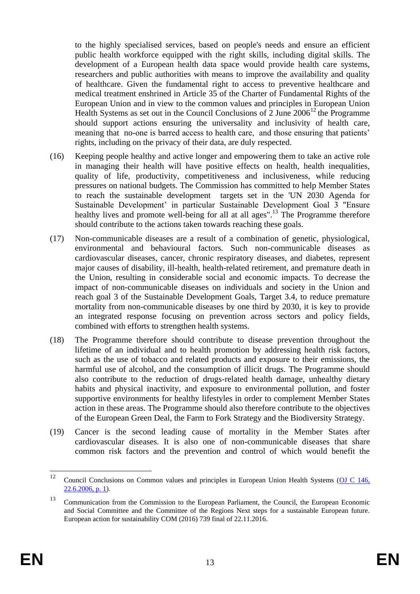to the highly specialised services, based on people's needs and ensure an efficient public health workforce equipped with the right skills, including digital skills. The development of a European health data space would provide health care systems, researchers and public authorities with means to improve the availability and quality of healthcare. Given the fundamental right to access to preventive healthcare and medical treatment enshrined in Article 35 of the Charter of Fundamental Rights of the European Union and in view to the common values and principles in European Union Health Systems as set out in the Council Conclusions of  $2$  June  $2006^{12}$  the Programme should support actions ensuring the universality and inclusivity of health care, meaning that no-one is barred access to health care, and those ensuring that patients' rights, including on the privacy of their data, are duly respected.

- (16) Keeping people healthy and active longer and empowering them to take an active role in managing their health will have positive effects on health, health inequalities, quality of life, productivity, competitiveness and inclusiveness, while reducing pressures on national budgets. The Commission has committed to help Member States to reach the sustainable development targets set in the 'UN 2030 Agenda for Sustainable Development' in particular Sustainable Development Goal 3 "Ensure healthy lives and promote well-being for all at all ages".<sup>13</sup> The Programme therefore should contribute to the actions taken towards reaching these goals.
- (17) Non-communicable diseases are a result of a combination of genetic, physiological, environmental and behavioural factors. Such non-communicable diseases as cardiovascular diseases, cancer, chronic respiratory diseases, and diabetes, represent major causes of disability, ill-health, health-related retirement, and premature death in the Union, resulting in considerable social and economic impacts. To decrease the impact of non-communicable diseases on individuals and society in the Union and reach goal 3 of the Sustainable Development Goals, Target 3.4, to reduce premature mortality from non-communicable diseases by one third by 2030, it is key to provide an integrated response focusing on prevention across sectors and policy fields, combined with efforts to strengthen health systems.
- (18) The Programme therefore should contribute to disease prevention throughout the lifetime of an individual and to health promotion by addressing health risk factors, such as the use of tobacco and related products and exposure to their emissions, the harmful use of alcohol, and the consumption of illicit drugs. The Programme should also contribute to the reduction of drugs-related health damage, unhealthy dietary habits and physical inactivity, and exposure to environmental pollution, and foster supportive environments for healthy lifestyles in order to complement Member States action in these areas. The Programme should also therefore contribute to the objectives of the European Green Deal, the Farm to Fork Strategy and the Biodiversity Strategy.
- (19) Cancer is the second leading cause of mortality in the Member States after cardiovascular diseases. It is also one of non-communicable diseases that share common risk factors and the prevention and control of which would benefit the

 $12$ <sup>12</sup> Council Conclusions on Common values and principles in European Union Health Systems [\(OJ C 146,](https://eur-lex.europa.eu/legal-content/EN/AUTO/?uri=OJ:C:2006:146:TOC)   $22.6.2006$ , p. 1).

<sup>&</sup>lt;sup>13</sup> Communication from the Commission to the European Parliament, the Council, the European Economic and Social Committee and the Committee of the Regions Next steps for a sustainable European future. European action for sustainability COM (2016) 739 final of 22.11.2016.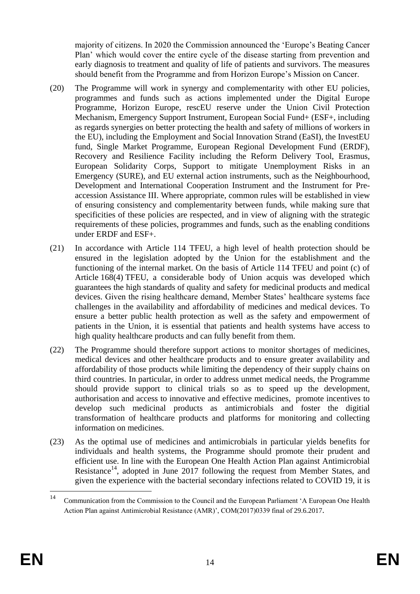majority of citizens. In 2020 the Commission announced the 'Europe's Beating Cancer Plan' which would cover the entire cycle of the disease starting from prevention and early diagnosis to treatment and quality of life of patients and survivors. The measures should benefit from the Programme and from Horizon Europe's Mission on Cancer.

- (20) The Programme will work in synergy and complementarity with other EU policies, programmes and funds such as actions implemented under the Digital Europe Programme, Horizon Europe, rescEU reserve under the Union Civil Protection Mechanism, Emergency Support Instrument, European Social Fund+ (ESF+, including as regards synergies on better protecting the health and safety of millions of workers in the EU), including the Employment and Social Innovation Strand (EaSI), the InvestEU fund, Single Market Programme, European Regional Development Fund (ERDF), Recovery and Resilience Facility including the Reform Delivery Tool, Erasmus, European Solidarity Corps, Support to mitigate Unemployment Risks in an Emergency (SURE), and EU external action instruments, such as the Neighbourhood, Development and International Cooperation Instrument and the Instrument for Preaccession Assistance III. Where appropriate, common rules will be established in view of ensuring consistency and complementarity between funds, while making sure that specificities of these policies are respected, and in view of aligning with the strategic requirements of these policies, programmes and funds, such as the enabling conditions under ERDF and ESF+.
- (21) In accordance with Article 114 TFEU, a high level of health protection should be ensured in the legislation adopted by the Union for the establishment and the functioning of the internal market. On the basis of Article 114 TFEU and point (c) of Article 168(4) TFEU, a considerable body of Union acquis was developed which guarantees the high standards of quality and safety for medicinal products and medical devices. Given the rising healthcare demand, Member States' healthcare systems face challenges in the availability and affordability of medicines and medical devices. To ensure a better public health protection as well as the safety and empowerment of patients in the Union, it is essential that patients and health systems have access to high quality healthcare products and can fully benefit from them.
- (22) The Programme should therefore support actions to monitor shortages of medicines, medical devices and other healthcare products and to ensure greater availability and affordability of those products while limiting the dependency of their supply chains on third countries. In particular, in order to address unmet medical needs, the Programme should provide support to clinical trials so as to speed up the development, authorisation and access to innovative and effective medicines, promote incentives to develop such medicinal products as antimicrobials and foster the digitial transformation of healthcare products and platforms for monitoring and collecting information on medicines.
- (23) As the optimal use of medicines and antimicrobials in particular yields benefits for individuals and health systems, the Programme should promote their prudent and efficient use. In line with the European One Health Action Plan against Antimicrobial Resistance<sup>14</sup>, adopted in June 2017 following the request from Member States, and given the experience with the bacterial secondary infections related to COVID 19, it is

 $14$ <sup>14</sup> Communication from the Commission to the Council and the European Parliament 'A European One Health Action Plan against Antimicrobial Resistance (AMR)', COM(2017)0339 final of 29.6.2017.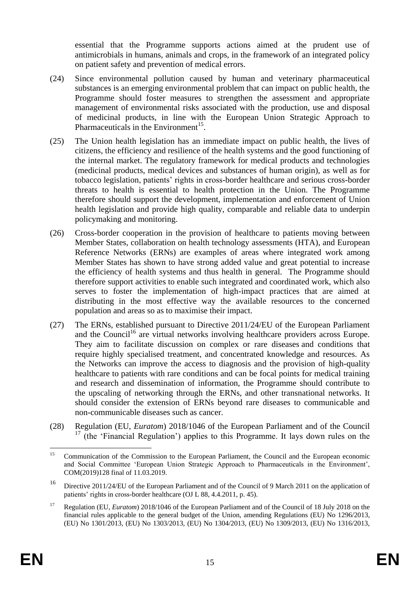essential that the Programme supports actions aimed at the prudent use of antimicrobials in humans, animals and crops, in the framework of an integrated policy on patient safety and prevention of medical errors.

- (24) Since environmental pollution caused by human and veterinary pharmaceutical substances is an emerging environmental problem that can impact on public health, the Programme should foster measures to strengthen the assessment and appropriate management of environmental risks associated with the production, use and disposal of medicinal products, in line with the European Union Strategic Approach to Pharmaceuticals in the Environment<sup>15</sup>.
- (25) The Union health legislation has an immediate impact on public health, the lives of citizens, the efficiency and resilience of the health systems and the good functioning of the internal market. The regulatory framework for medical products and technologies (medicinal products, medical devices and substances of human origin), as well as for tobacco legislation, patients' rights in cross-border healthcare and serious cross-border threats to health is essential to health protection in the Union. The Programme therefore should support the development, implementation and enforcement of Union health legislation and provide high quality, comparable and reliable data to underpin policymaking and monitoring.
- (26) Cross-border cooperation in the provision of healthcare to patients moving between Member States, collaboration on health technology assessments (HTA), and European Reference Networks (ERNs) are examples of areas where integrated work among Member States has shown to have strong added value and great potential to increase the efficiency of health systems and thus health in general. The Programme should therefore support activities to enable such integrated and coordinated work, which also serves to foster the implementation of high-impact practices that are aimed at distributing in the most effective way the available resources to the concerned population and areas so as to maximise their impact.
- (27) The ERNs, established pursuant to Directive 2011/24/EU of the European Parliament and the Council<sup>16</sup> are virtual networks involving healthcare providers across Europe. They aim to facilitate discussion on complex or [rare diseases](https://ec.europa.eu/health/non_communicable_diseases/rare_diseases_en) and conditions that require highly specialised treatment, and concentrated knowledge and resources. As the Networks can improve the access to diagnosis and the provision of high-quality healthcare to patients with rare conditions and can be focal points for medical training and research and dissemination of information, the Programme should contribute to the upscaling of networking through the ERNs, and other transnational networks. It should consider the extension of ERNs beyond rare diseases to communicable and non-communicable diseases such as cancer.
- (28) Regulation (EU, *Euratom*) 2018/1046 of the European Parliament and of the Council <sup>17</sup> (the 'Financial Regulation') applies to this Programme. It lays down rules on the

 $15<sup>15</sup>$ <sup>15</sup> Communication of the Commission to the European Parliament, the Council and the European economic and Social Committee 'European Union Strategic Approach to Pharmaceuticals in the Environment', COM(2019)128 final of 11.03.2019.

<sup>16</sup> Directive 2011/24/EU of the European Parliament and of the Council of 9 March 2011 on the application of patients' rights in cross-border healthcare (OJ L 88, 4.4.2011, p. 45).

<sup>17</sup> Regulation (EU, *Euratom*) 2018/1046 of the European Parliament and of the Council of 18 July 2018 on the financial rules applicable to the general budget of the Union, amending Regulations (EU) No 1296/2013, (EU) No 1301/2013, (EU) No 1303/2013, (EU) No 1304/2013, (EU) No 1309/2013, (EU) No 1316/2013,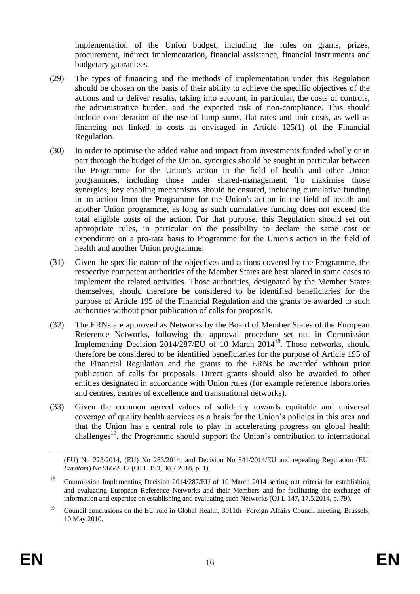implementation of the Union budget, including the rules on grants, prizes, procurement, indirect implementation, financial assistance, financial instruments and budgetary guarantees.

- (29) The types of financing and the methods of implementation under this Regulation should be chosen on the basis of their ability to achieve the specific objectives of the actions and to deliver results, taking into account, in particular, the costs of controls, the administrative burden, and the expected risk of non-compliance. This should include consideration of the use of lump sums, flat rates and unit costs, as well as financing not linked to costs as envisaged in Article 125(1) of the Financial Regulation.
- (30) In order to optimise the added value and impact from investments funded wholly or in part through the budget of the Union, synergies should be sought in particular between the Programme for the Union's action in the field of health and other Union programmes, including those under shared-management. To maximise those synergies, key enabling mechanisms should be ensured, including cumulative funding in an action from the Programme for the Union's action in the field of health and another Union programme, as long as such cumulative funding does not exceed the total eligible costs of the action. For that purpose, this Regulation should set out appropriate rules, in particular on the possibility to declare the same cost or expenditure on a pro-rata basis to Programme for the Union's action in the field of health and another Union programme.
- (31) Given the specific nature of the objectives and actions covered by the Programme, the respective competent authorities of the Member States are best placed in some cases to implement the related activities. Those authorities, designated by the Member States themselves, should therefore be considered to be identified beneficiaries for the purpose of Article 195 of the Financial Regulation and the grants be awarded to such authorities without prior publication of calls for proposals.
- (32) The ERNs are approved as Networks by the Board of Member States of the European Reference Networks, following the approval procedure set out in Commission Implementing Decision 2014/287/EU of 10 March 2014<sup>18</sup>. Those networks, should therefore be considered to be identified beneficiaries for the purpose of Article 195 of the Financial Regulation and the grants to the ERNs be awarded without prior publication of calls for proposals. Direct grants should also be awarded to other entities designated in accordance with Union rules (for example reference laboratories and centres, centres of excellence and transnational networks).
- (33) Given the common agreed values of solidarity towards equitable and universal coverage of quality health services as a basis for the Union's policies in this area and that the Union has a central role to play in accelerating progress on global health challenges<sup>19</sup>, the Programme should support the Union's contribution to international

<u>.</u>

<sup>(</sup>EU) No 223/2014, (EU) No 283/2014, and Decision No 541/2014/EU and repealing Regulation (EU, *Euratom*) No 966/2012 (OJ L 193, 30.7.2018, p. 1).

<sup>18</sup> Commission Implementing Decision 2014/287/EU of 10 March 2014 setting out criteria for establishing and evaluating European Reference Networks and their Members and for facilitating the exchange of information and expertise on establishing and evaluating such Networks (OJ L 147, 17.5.2014, p. 79).

<sup>&</sup>lt;sup>19</sup> Council conclusions on the EU role in Global Health, 3011th Foreign Affairs Council meeting, Brussels, 10 May 2010.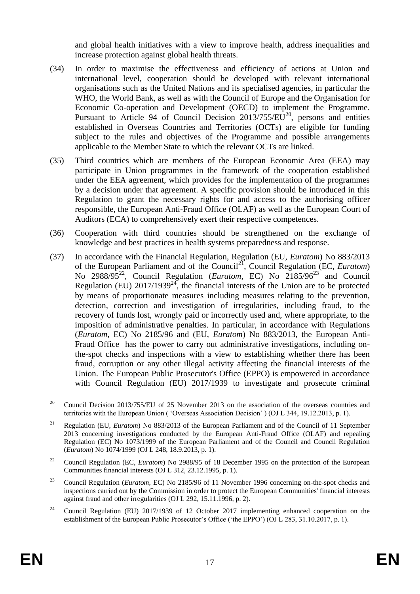and global health initiatives with a view to improve health, address inequalities and increase protection against global health threats.

- (34) In order to maximise the effectiveness and efficiency of actions at Union and international level, cooperation should be developed with relevant international organisations such as the United Nations and its specialised agencies, in particular the WHO, the World Bank, as well as with the Council of Europe and the Organisation for Economic Co-operation and Development (OECD) to implement the Programme. Pursuant to Article 94 of Council Decision  $2013/755/EU^{20}$ , persons and entities established in Overseas Countries and Territories (OCTs) are eligible for funding subject to the rules and objectives of the Programme and possible arrangements applicable to the Member State to which the relevant OCTs are linked.
- (35) Third countries which are members of the European Economic Area (EEA) may participate in Union programmes in the framework of the cooperation established under the EEA agreement, which provides for the implementation of the programmes by a decision under that agreement. A specific provision should be introduced in this Regulation to grant the necessary rights for and access to the authorising officer responsible, the European Anti-Fraud Office (OLAF) as well as the European Court of Auditors (ECA) to comprehensively exert their respective competences.
- (36) Cooperation with third countries should be strengthened on the exchange of knowledge and best practices in health systems preparedness and response.
- (37) In accordance with the Financial Regulation, Regulation (EU, *Euratom*) No 883/2013 of the European Parliament and of the Council<sup>21</sup>, Council Regulation (EC, *Euratom*) No 2988/95<sup>22</sup>, Council Regulation (*Euratom*, EC) No 2185/96<sup>23</sup> and Council Regulation (EU)  $2017/1939^{24}$ , the financial interests of the Union are to be protected by means of proportionate measures including measures relating to the prevention, detection, correction and investigation of irregularities, including fraud, to the recovery of funds lost, wrongly paid or incorrectly used and, where appropriate, to the imposition of administrative penalties. In particular, in accordance with Regulations (*Euratom*, EC) No 2185/96 and (EU, *Euratom*) No 883/2013, the European Anti-Fraud Office has the power to carry out administrative investigations, including onthe-spot checks and inspections with a view to establishing whether there has been fraud, corruption or any other illegal activity affecting the financial interests of the Union. The European Public Prosecutor's Office (EPPO) is empowered in accordance with Council Regulation (EU) 2017/1939 to investigate and prosecute criminal

 $20$ <sup>20</sup> Council Decision 2013/755/EU of 25 November 2013 on the association of the overseas countries and territories with the European Union ( 'Overseas Association Decision' ) (OJ L 344, 19.12.2013, p. 1).

<sup>21</sup> Regulation (EU, *Euratom*) No 883/2013 of the European Parliament and of the Council of 11 September 2013 concerning investigations conducted by the European Anti-Fraud Office (OLAF) and repealing Regulation (EC) No 1073/1999 of the European Parliament and of the Council and Council Regulation (*Euratom*) No 1074/1999 (OJ L 248, 18.9.2013, p. 1).

<sup>&</sup>lt;sup>22</sup> Council Regulation (EC, *Euratom*) No 2988/95 of 18 December 1995 on the protection of the European Communities financial interests (OJ L 312, 23.12.1995, p. 1).

<sup>23</sup> Council Regulation (*Euratom*, EC) No 2185/96 of 11 November 1996 concerning on-the-spot checks and inspections carried out by the Commission in order to protect the European Communities' financial interests against fraud and other irregularities (OJ L 292, 15.11.1996, p. 2).

<sup>&</sup>lt;sup>24</sup> Council Regulation (EU) 2017/1939 of 12 October 2017 implementing enhanced cooperation on the establishment of the European Public Prosecutor's Office ('the EPPO') (OJ L 283, 31.10.2017, p. 1).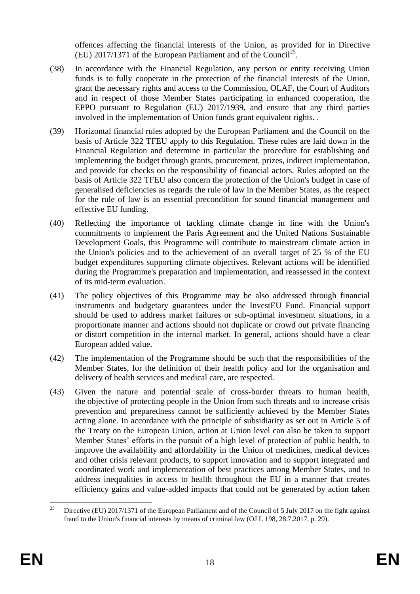offences affecting the financial interests of the Union, as provided for in Directive  $(EU)$  2017/1371 of the European Parliament and of the Council<sup>25</sup>.

- (38) In accordance with the Financial Regulation, any person or entity receiving Union funds is to fully cooperate in the protection of the financial interests of the Union, grant the necessary rights and access to the Commission, OLAF, the Court of Auditors and in respect of those Member States participating in enhanced cooperation, the EPPO pursuant to Regulation (EU) 2017/1939, and ensure that any third parties involved in the implementation of Union funds grant equivalent rights. .
- (39) Horizontal financial rules adopted by the European Parliament and the Council on the basis of Article 322 TFEU apply to this Regulation. These rules are laid down in the Financial Regulation and determine in particular the procedure for establishing and implementing the budget through grants, procurement, prizes, indirect implementation, and provide for checks on the responsibility of financial actors. Rules adopted on the basis of Article 322 TFEU also concern the protection of the Union's budget in case of generalised deficiencies as regards the rule of law in the Member States, as the respect for the rule of law is an essential precondition for sound financial management and effective EU funding.
- (40) Reflecting the importance of tackling climate change in line with the Union's commitments to implement the Paris Agreement and the United Nations Sustainable Development Goals, this Programme will contribute to mainstream climate action in the Union's policies and to the achievement of an overall target of 25 % of the EU budget expenditures supporting climate objectives. Relevant actions will be identified during the Programme's preparation and implementation, and reassessed in the context of its mid-term evaluation.
- (41) The policy objectives of this Programme may be also addressed through financial instruments and budgetary guarantees under the InvestEU Fund. Financial support should be used to address market failures or sub-optimal investment situations, in a proportionate manner and actions should not duplicate or crowd out private financing or distort competition in the internal market. In general, actions should have a clear European added value.
- (42) The implementation of the Programme should be such that the responsibilities of the Member States, for the definition of their health policy and for the organisation and delivery of health services and medical care, are respected.
- (43) Given the nature and potential scale of cross-border threats to human health, the objective of protecting people in the Union from such threats and to increase crisis prevention and preparedness cannot be sufficiently achieved by the Member States acting alone. In accordance with the principle of subsidiarity as set out in Article 5 of the Treaty on the European Union, action at Union level can also be taken to support Member States' efforts in the pursuit of a high level of protection of public health, to improve the availability and affordability in the Union of medicines, medical devices and other crisis relevant products, to support innovation and to support integrated and coordinated work and implementation of best practices among Member States, and to address inequalities in access to health throughout the EU in a manner that creates efficiency gains and value-added impacts that could not be generated by action taken

 $25$ <sup>25</sup> Directive (EU) 2017/1371 of the European Parliament and of the Council of 5 July 2017 on the fight against fraud to the Union's financial interests by means of criminal law (OJ L 198, 28.7.2017, p. 29).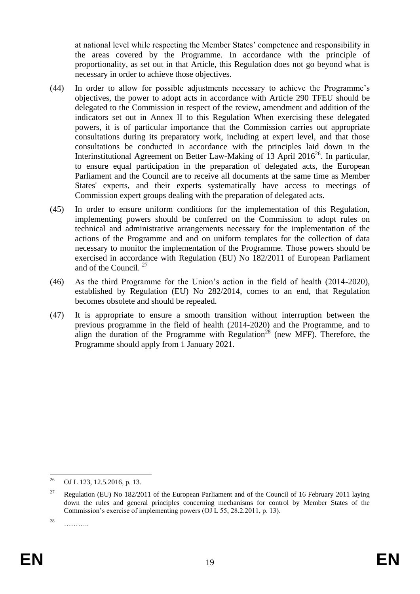at national level while respecting the Member States' competence and responsibility in the areas covered by the Programme. In accordance with the principle of proportionality, as set out in that Article, this Regulation does not go beyond what is necessary in order to achieve those objectives.

- (44) In order to allow for possible adjustments necessary to achieve the Programme's objectives, the power to adopt acts in accordance with Article 290 TFEU should be delegated to the Commission in respect of the review, amendment and addition of the indicators set out in Annex II to this Regulation When exercising these delegated powers, it is of particular importance that the Commission carries out appropriate consultations during its preparatory work, including at expert level, and that those consultations be conducted in accordance with the principles laid down in the Interinstitutional Agreement on Better Law-Making of 13 April 2016<sup>26</sup>. In particular, to ensure equal participation in the preparation of delegated acts, the European Parliament and the Council are to receive all documents at the same time as Member States' experts, and their experts systematically have access to meetings of Commission expert groups dealing with the preparation of delegated acts.
- (45) In order to ensure uniform conditions for the implementation of this Regulation, implementing powers should be conferred on the Commission to adopt rules on technical and administrative arrangements necessary for the implementation of the actions of the Programme and and on uniform templates for the collection of data necessary to monitor the implementation of the Programme. Those powers should be exercised in accordance with Regulation (EU) No 182/2011 of European Parliament and of the Council.  $27$
- (46) As the third Programme for the Union's action in the field of health (2014-2020), established by Regulation (EU) No 282/2014, comes to an end, that Regulation becomes obsolete and should be repealed.
- (47) It is appropriate to ensure a smooth transition without interruption between the previous programme in the field of health (2014-2020) and the Programme, and to align the duration of the Programme with Regulation<sup>28</sup> (new MFF). Therefore, the Programme should apply from 1 January 2021.

<sup>26</sup> <sup>26</sup> OJ L 123, 12.5.2016, p. 13.

<sup>&</sup>lt;sup>27</sup> Regulation (EU) No 182/2011 of the European Parliament and of the Council of 16 February 2011 laying down the rules and general principles concerning mechanisms for control by Member States of the Commission's exercise of implementing powers (OJ L 55, 28.2.2011, p. 13).

<sup>28</sup> ………..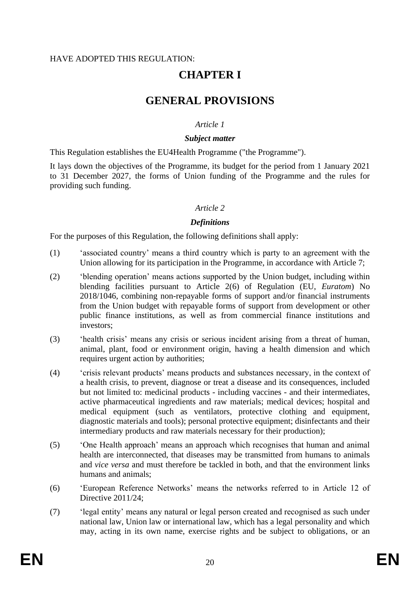#### HAVE ADOPTED THIS REGULATION:

# **CHAPTER I**

# **GENERAL PROVISIONS**

## *Article 1*

#### *Subject matter*

This Regulation establishes the EU4Health Programme ("the Programme").

It lays down the objectives of the Programme, its budget for the period from 1 January 2021 to 31 December 2027, the forms of Union funding of the Programme and the rules for providing such funding.

## *Article 2*

## *Definitions*

For the purposes of this Regulation, the following definitions shall apply:

- (1) 'associated country' means a third country which is party to an agreement with the Union allowing for its participation in the Programme, in accordance with Article 7;
- (2) 'blending operation' means actions supported by the Union budget, including within blending facilities pursuant to Article 2(6) of Regulation (EU, *Euratom*) No 2018/1046, combining non-repayable forms of support and/or financial instruments from the Union budget with repayable forms of support from development or other public finance institutions, as well as from commercial finance institutions and investors;
- (3) 'health crisis' means any crisis or serious incident arising from a threat of human, animal, plant, food or environment origin, having a health dimension and which requires urgent action by authorities;
- (4) 'crisis relevant products' means products and substances necessary, in the context of a health crisis, to prevent, diagnose or treat a disease and its consequences, included but not limited to: medicinal products - including vaccines - and their intermediates, active pharmaceutical ingredients and raw materials; medical devices; hospital and medical equipment (such as ventilators, protective clothing and equipment, diagnostic materials and tools); personal protective equipment; disinfectants and their intermediary products and raw materials necessary for their production);
- (5) 'One Health approach' means an approach which recognises that human and animal health are interconnected, that diseases may be transmitted from humans to animals and *vice versa* and must therefore be tackled in both, and that the environment links humans and animals;
- (6) 'European Reference Networks' means the networks referred to in Article 12 of Directive 2011/24;
- (7) 'legal entity' means any natural or legal person created and recognised as such under national law, Union law or international law, which has a legal personality and which may, acting in its own name, exercise rights and be subject to obligations, or an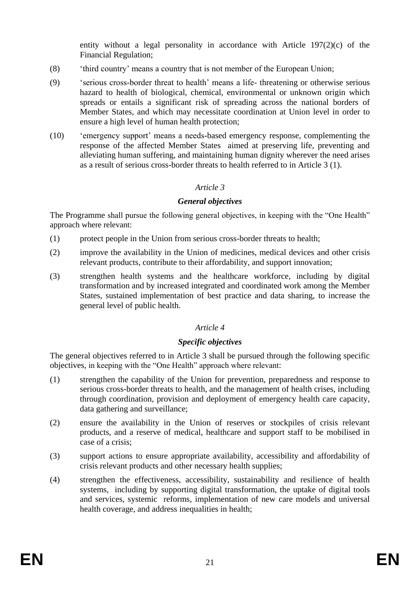entity without a legal personality in accordance with Article 197(2)(c) of the Financial Regulation;

- (8) 'third country' means a country that is not member of the European Union;
- (9) 'serious cross-border threat to health' means a life- threatening or otherwise serious hazard to health of biological, chemical, environmental or unknown origin which spreads or entails a significant risk of spreading across the national borders of Member States, and which may necessitate coordination at Union level in order to ensure a high level of human health protection;
- (10) 'emergency support' means a needs-based emergency response, complementing the response of the affected Member States aimed at preserving life, preventing and alleviating human suffering, and maintaining human dignity wherever the need arises as a result of serious cross-border threats to health referred to in Article 3 (1).

#### *Article 3*

#### *General objectives*

The Programme shall pursue the following general objectives, in keeping with the "One Health" approach where relevant:

- (1) protect people in the Union from serious cross-border threats to health;
- (2) improve the availability in the Union of medicines, medical devices and other crisis relevant products, contribute to their affordability, and support innovation;
- (3) strengthen health systems and the healthcare workforce, including by digital transformation and by increased integrated and coordinated work among the Member States, sustained implementation of best practice and data sharing, to increase the general level of public health.

#### *Article 4*

#### *Specific objectives*

The general objectives referred to in Article 3 shall be pursued through the following specific objectives, in keeping with the "One Health" approach where relevant:

- (1) strengthen the capability of the Union for prevention, preparedness and response to serious cross-border threats to health, and the management of health crises, including through coordination, provision and deployment of emergency health care capacity, data gathering and surveillance;
- (2) ensure the availability in the Union of reserves or stockpiles of crisis relevant products, and a reserve of medical, healthcare and support staff to be mobilised in case of a crisis;
- (3) support actions to ensure appropriate availability, accessibility and affordability of crisis relevant products and other necessary health supplies;
- (4) strengthen the effectiveness, accessibility, sustainability and resilience of health systems, including by supporting digital transformation, the uptake of digital tools and services, systemic reforms, implementation of new care models and universal health coverage, and address inequalities in health;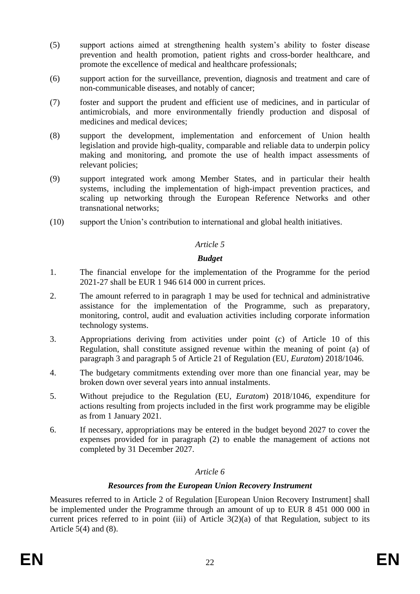- (5) support actions aimed at strengthening health system's ability to foster disease prevention and health promotion, patient rights and cross-border healthcare, and promote the excellence of medical and healthcare professionals;
- (6) support action for the surveillance, prevention, diagnosis and treatment and care of non-communicable diseases, and notably of cancer;
- (7) foster and support the prudent and efficient use of medicines, and in particular of antimicrobials, and more environmentally friendly production and disposal of medicines and medical devices;
- (8) support the development, implementation and enforcement of Union health legislation and provide high-quality, comparable and reliable data to underpin policy making and monitoring, and promote the use of health impact assessments of relevant policies;
- (9) support integrated work among Member States, and in particular their health systems, including the implementation of high-impact prevention practices, and scaling up networking through the European Reference Networks and other transnational networks;
- (10) support the Union's contribution to international and global health initiatives.

## *Budget*

- 1. The financial envelope for the implementation of the Programme for the period 2021-27 shall be EUR 1 946 614 000 in current prices.
- 2. The amount referred to in paragraph 1 may be used for technical and administrative assistance for the implementation of the Programme, such as preparatory, monitoring, control, audit and evaluation activities including corporate information technology systems.
- 3. Appropriations deriving from activities under point (c) of Article 10 of this Regulation, shall constitute assigned revenue within the meaning of point (a) of paragraph 3 and paragraph 5 of Article 21 of Regulation (EU, *Euratom*) 2018/1046.
- 4. The budgetary commitments extending over more than one financial year, may be broken down over several years into annual instalments.
- 5. Without prejudice to the Regulation (EU, *Euratom*) 2018/1046, expenditure for actions resulting from projects included in the first work programme may be eligible as from 1 January 2021.
- 6. If necessary, appropriations may be entered in the budget beyond 2027 to cover the expenses provided for in paragraph (2) to enable the management of actions not completed by 31 December 2027.

## *Article 6*

## *Resources from the European Union Recovery Instrument*

Measures referred to in Article 2 of Regulation [European Union Recovery Instrument] shall be implemented under the Programme through an amount of up to EUR 8 451 000 000 in current prices referred to in point (iii) of Article  $3(2)(a)$  of that Regulation, subject to its Article  $5(4)$  and  $(8)$ .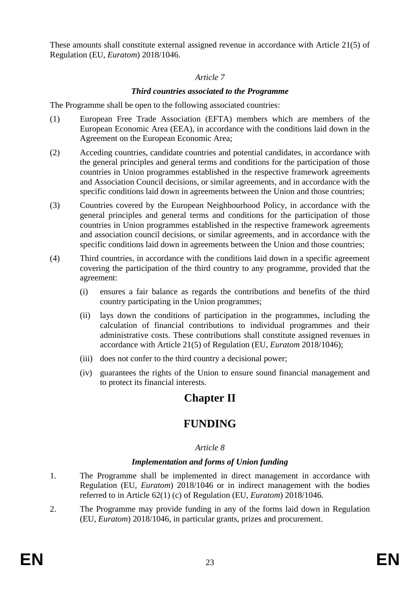These amounts shall constitute external assigned revenue in accordance with Article 21(5) of Regulation (EU, *Euratom*) 2018/1046.

## *Article 7*

## *Third countries associated to the Programme*

The Programme shall be open to the following associated countries:

- (1) European Free Trade Association (EFTA) members which are members of the European Economic Area (EEA), in accordance with the conditions laid down in the Agreement on the European Economic Area;
- (2) Acceding countries, candidate countries and potential candidates, in accordance with the general principles and general terms and conditions for the participation of those countries in Union programmes established in the respective framework agreements and Association Council decisions, or similar agreements, and in accordance with the specific conditions laid down in agreements between the Union and those countries;
- (3) Countries covered by the European Neighbourhood Policy, in accordance with the general principles and general terms and conditions for the participation of those countries in Union programmes established in the respective framework agreements and association council decisions, or similar agreements, and in accordance with the specific conditions laid down in agreements between the Union and those countries;
- (4) Third countries, in accordance with the conditions laid down in a specific agreement covering the participation of the third country to any programme, provided that the agreement:
	- (i) ensures a fair balance as regards the contributions and benefits of the third country participating in the Union programmes;
	- (ii) lays down the conditions of participation in the programmes, including the calculation of financial contributions to individual programmes and their administrative costs. These contributions shall constitute assigned revenues in accordance with Article 21(5) of Regulation (EU, *Euratom* 2018/1046);
	- (iii) does not confer to the third country a decisional power;
	- (iv) guarantees the rights of the Union to ensure sound financial management and to protect its financial interests.

# **Chapter II**

# **FUNDING**

## *Article 8*

#### *Implementation and forms of Union funding*

- 1. The Programme shall be implemented in direct management in accordance with Regulation (EU, *Euratom*) 2018/1046 or in indirect management with the bodies referred to in Article 62(1) (c) of Regulation (EU, *Euratom*) 2018/1046.
- 2. The Programme may provide funding in any of the forms laid down in Regulation (EU, *Euratom*) 2018/1046, in particular grants, prizes and procurement.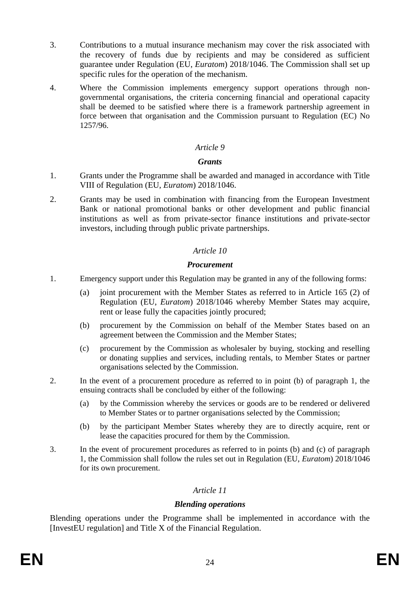- 3. Contributions to a mutual insurance mechanism may cover the risk associated with the recovery of funds due by recipients and may be considered as sufficient guarantee under Regulation (EU, *Euratom*) 2018/1046. The Commission shall set up specific rules for the operation of the mechanism.
- 4. Where the Commission implements emergency support operations through nongovernmental organisations, the criteria concerning financial and operational capacity shall be deemed to be satisfied where there is a framework partnership agreement in force between that organisation and the Commission pursuant to Regulation (EC) No 1257/96.

#### *Grants*

- 1. Grants under the Programme shall be awarded and managed in accordance with Title VIII of Regulation (EU, *Euratom*) 2018/1046.
- 2. Grants may be used in combination with financing from the European Investment Bank or national promotional banks or other development and public financial institutions as well as from private-sector finance institutions and private-sector investors, including through public private partnerships.

#### *Article 10*

#### *Procurement*

- 1. Emergency support under this Regulation may be granted in any of the following forms:
	- (a) joint procurement with the Member States as referred to in Article 165 (2) of Regulation (EU, *Euratom*) 2018/1046 whereby Member States may acquire, rent or lease fully the capacities jointly procured;
	- (b) procurement by the Commission on behalf of the Member States based on an agreement between the Commission and the Member States;
	- (c) procurement by the Commission as wholesaler by buying, stocking and reselling or donating supplies and services, including rentals, to Member States or partner organisations selected by the Commission.
- 2. In the event of a procurement procedure as referred to in point (b) of paragraph 1, the ensuing contracts shall be concluded by either of the following:
	- (a) by the Commission whereby the services or goods are to be rendered or delivered to Member States or to partner organisations selected by the Commission;
	- (b) by the participant Member States whereby they are to directly acquire, rent or lease the capacities procured for them by the Commission.
- 3. In the event of procurement procedures as referred to in points (b) and (c) of paragraph 1, the Commission shall follow the rules set out in Regulation (EU, *Euratom*) 2018/1046 for its own procurement.

#### *Article 11*

#### *Blending operations*

Blending operations under the Programme shall be implemented in accordance with the [InvestEU regulation] and Title X of the Financial Regulation.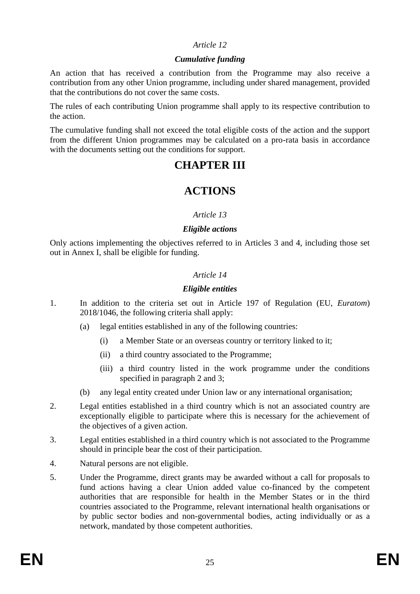#### *Cumulative funding*

An action that has received a contribution from the Programme may also receive a contribution from any other Union programme, including under shared management, provided that the contributions do not cover the same costs.

The rules of each contributing Union programme shall apply to its respective contribution to the action.

The cumulative funding shall not exceed the total eligible costs of the action and the support from the different Union programmes may be calculated on a pro-rata basis in accordance with the documents setting out the conditions for support.

# **CHAPTER III**

# **ACTIONS**

## *Article 13*

#### *Eligible actions*

Only actions implementing the objectives referred to in Articles 3 and 4, including those set out in Annex I, shall be eligible for funding.

## *Article 14*

## *Eligible entities*

- 1. In addition to the criteria set out in Article 197 of Regulation (EU, *Euratom*) 2018/1046, the following criteria shall apply:
	- (a) legal entities established in any of the following countries:
		- (i) a Member State or an overseas country or territory linked to it;
		- (ii) a third country associated to the Programme;
		- (iii) a third country listed in the work programme under the conditions specified in paragraph 2 and 3;
	- (b) any legal entity created under Union law or any international organisation;
- 2. Legal entities established in a third country which is not an associated country are exceptionally eligible to participate where this is necessary for the achievement of the objectives of a given action.
- 3. Legal entities established in a third country which is not associated to the Programme should in principle bear the cost of their participation.
- 4. Natural persons are not eligible.
- 5. Under the Programme, direct grants may be awarded without a call for proposals to fund actions having a clear Union added value co-financed by the competent authorities that are responsible for health in the Member States or in the third countries associated to the Programme, relevant international health organisations or by public sector bodies and non-governmental bodies, acting individually or as a network, mandated by those competent authorities.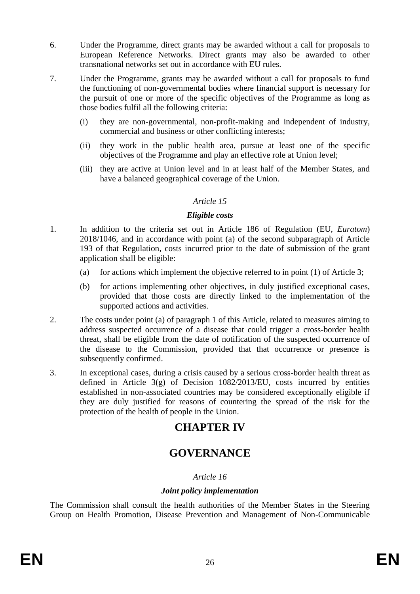- 6. Under the Programme, direct grants may be awarded without a call for proposals to European Reference Networks. Direct grants may also be awarded to other transnational networks set out in accordance with EU rules.
- 7. Under the Programme, grants may be awarded without a call for proposals to fund the functioning of non-governmental bodies where financial support is necessary for the pursuit of one or more of the specific objectives of the Programme as long as those bodies fulfil all the following criteria:
	- (i) they are non-governmental, non-profit-making and independent of industry, commercial and business or other conflicting interests;
	- (ii) they work in the public health area, pursue at least one of the specific objectives of the Programme and play an effective role at Union level;
	- (iii) they are active at Union level and in at least half of the Member States, and have a balanced geographical coverage of the Union.

#### *Eligible costs*

- 1. In addition to the criteria set out in Article 186 of Regulation (EU, *Euratom*) 2018/1046, and in accordance with point (a) of the second subparagraph of Article 193 of that Regulation, costs incurred prior to the date of submission of the grant application shall be eligible:
	- (a) for actions which implement the objective referred to in point  $(1)$  of Article 3;
	- (b) for actions implementing other objectives, in duly justified exceptional cases, provided that those costs are directly linked to the implementation of the supported actions and activities.
- 2. The costs under point (a) of paragraph 1 of this Article, related to measures aiming to address suspected occurrence of a disease that could trigger a cross-border health threat, shall be eligible from the date of notification of the suspected occurrence of the disease to the Commission, provided that that occurrence or presence is subsequently confirmed.
- 3. In exceptional cases, during a crisis caused by a serious cross-border health threat as defined in Article  $3(g)$  of Decision  $1082/2013/EU$ , costs incurred by entities established in non-associated countries may be considered exceptionally eligible if they are duly justified for reasons of countering the spread of the risk for the protection of the health of people in the Union.

# **CHAPTER IV**

# **GOVERNANCE**

## *Article 16*

#### *Joint policy implementation*

The Commission shall consult the health authorities of the Member States in the Steering Group on Health Promotion, Disease Prevention and Management of Non-Communicable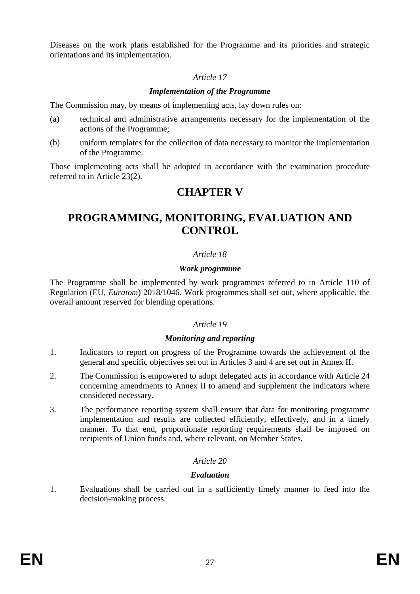Diseases on the work plans established for the Programme and its priorities and strategic orientations and its implementation.

## *Article 17*

## *Implementation of the Programme*

The Commission may, by means of implementing acts, lay down rules on:

- (a) technical and administrative arrangements necessary for the implementation of the actions of the Programme;
- (b) uniform templates for the collection of data necessary to monitor the implementation of the Programme.

Those implementing acts shall be adopted in accordance with the examination procedure referred to in Article 23(2).

# **CHAPTER V**

# **PROGRAMMING, MONITORING, EVALUATION AND CONTROL**

## *Article 18*

#### *Work programme*

The Programme shall be implemented by work programmes referred to in Article 110 of Regulation (EU, *Euratom*) 2018/1046. Work programmes shall set out, where applicable, the overall amount reserved for blending operations.

#### *Article 19*

#### *Monitoring and reporting*

- 1. Indicators to report on progress of the Programme towards the achievement of the general and specific objectives set out in Articles 3 and 4 are set out in Annex II.
- 2. The Commission is empowered to adopt delegated acts in accordance with Article 24 concerning amendments to Annex II to amend and supplement the indicators where considered necessary.
- 3. The performance reporting system shall ensure that data for monitoring programme implementation and results are collected efficiently, effectively, and in a timely manner. To that end, proportionate reporting requirements shall be imposed on recipients of Union funds and, where relevant, on Member States.

## *Article 20*

#### *Evaluation*

1. Evaluations shall be carried out in a sufficiently timely manner to feed into the decision-making process.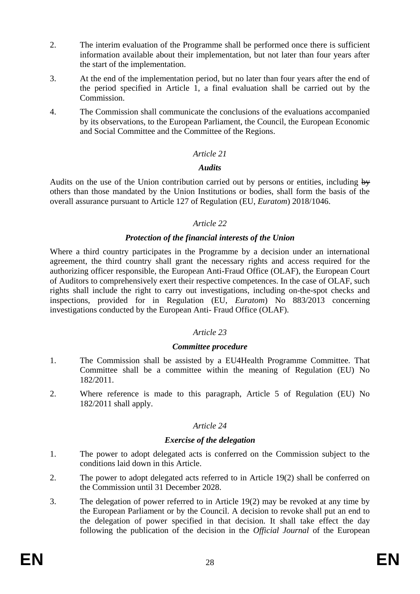- 2. The interim evaluation of the Programme shall be performed once there is sufficient information available about their implementation, but not later than four years after the start of the implementation.
- 3. At the end of the implementation period, but no later than four years after the end of the period specified in Article 1, a final evaluation shall be carried out by the Commission.
- 4. The Commission shall communicate the conclusions of the evaluations accompanied by its observations, to the European Parliament, the Council, the European Economic and Social Committee and the Committee of the Regions.

## *Audits*

Audits on the use of the Union contribution carried out by persons or entities, including  $\mathbf{b}$ others than those mandated by the Union Institutions or bodies, shall form the basis of the overall assurance pursuant to Article 127 of Regulation (EU, *Euratom*) 2018/1046.

## *Article 22*

## *Protection of the financial interests of the Union*

Where a third country participates in the Programme by a decision under an international agreement, the third country shall grant the necessary rights and access required for the authorizing officer responsible, the European Anti-Fraud Office (OLAF), the European Court of Auditors to comprehensively exert their respective competences. In the case of OLAF, such rights shall include the right to carry out investigations, including on-the-spot checks and inspections, provided for in Regulation (EU, *Euratom*) No 883/2013 concerning investigations conducted by the European Anti- Fraud Office (OLAF).

## *Article 23*

## *Committee procedure*

- 1. The Commission shall be assisted by a EU4Health Programme Committee*.* That Committee shall be a committee within the meaning of Regulation (EU) No 182/2011.
- 2. Where reference is made to this paragraph, Article 5 of Regulation (EU) No 182/2011 shall apply.

## *Article 24*

## *Exercise of the delegation*

- 1. The power to adopt delegated acts is conferred on the Commission subject to the conditions laid down in this Article.
- 2. The power to adopt delegated acts referred to in Article 19(2) shall be conferred on the Commission until 31 December 2028.
- 3. The delegation of power referred to in Article 19(2) may be revoked at any time by the European Parliament or by the Council. A decision to revoke shall put an end to the delegation of power specified in that decision. It shall take effect the day following the publication of the decision in the *Official Journal* of the European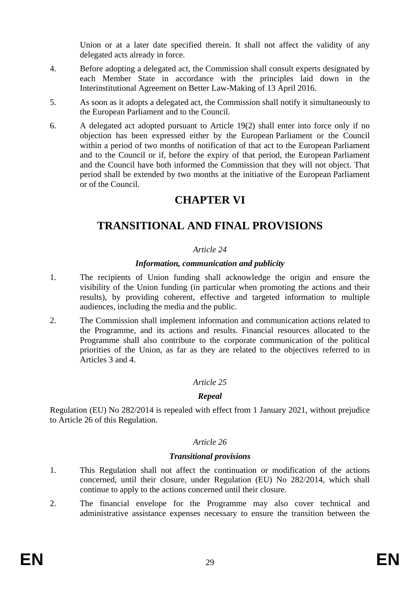Union or at a later date specified therein. It shall not affect the validity of any delegated acts already in force.

- 4. Before adopting a delegated act, the Commission shall consult experts designated by each Member State in accordance with the principles laid down in the Interinstitutional Agreement on Better Law-Making of 13 April 2016.
- 5. As soon as it adopts a delegated act, the Commission shall notify it simultaneously to the European Parliament and to the Council.
- 6. A delegated act adopted pursuant to Article 19(2) shall enter into force only if no objection has been expressed either by the European Parliament or the Council within a period of two months of notification of that act to the European Parliament and to the Council or if, before the expiry of that period, the European Parliament and the Council have both informed the Commission that they will not object. That period shall be extended by two months at the initiative of the European Parliament or of the Council.

# **CHAPTER VI**

# **TRANSITIONAL AND FINAL PROVISIONS**

## *Article 24*

#### *Information, communication and publicity*

- 1. The recipients of Union funding shall acknowledge the origin and ensure the visibility of the Union funding (in particular when promoting the actions and their results), by providing coherent, effective and targeted information to multiple audiences, including the media and the public.
- 2. The Commission shall implement information and communication actions related to the Programme, and its actions and results. Financial resources allocated to the Programme shall also contribute to the corporate communication of the political priorities of the Union, as far as they are related to the objectives referred to in Articles 3 and 4.

## *Article 25*

#### *Repeal*

Regulation (EU) No 282/2014 is repealed with effect from 1 January 2021, without prejudice to Article 26 of this Regulation.

#### *Article 26*

## *Transitional provisions*

- 1. This Regulation shall not affect the continuation or modification of the actions concerned, until their closure, under Regulation (EU) No 282/2014, which shall continue to apply to the actions concerned until their closure.
- 2. The financial envelope for the Programme may also cover technical and administrative assistance expenses necessary to ensure the transition between the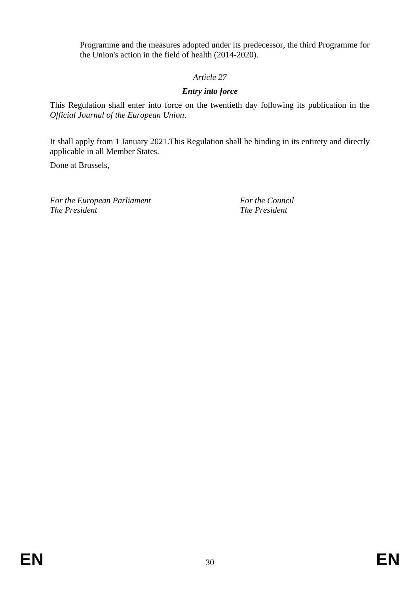Programme and the measures adopted under its predecessor, the third Programme for the Union's action in the field of health (2014-2020).

# *Article 27*

# *Entry into force*

This Regulation shall enter into force on the twentieth day following its publication in the *Official Journal of the European Union*.

It shall apply from 1 January 2021.This Regulation shall be binding in its entirety and directly applicable in all Member States.

Done at Brussels,

*For the European Parliament For the Council The President The President*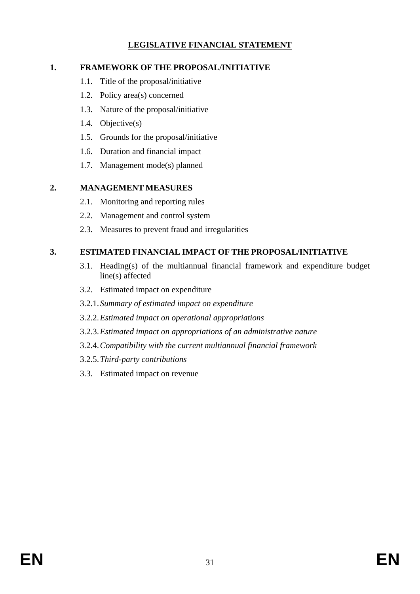# **LEGISLATIVE FINANCIAL STATEMENT**

## **1. FRAMEWORK OF THE PROPOSAL/INITIATIVE**

- 1.1. Title of the proposal/initiative
- 1.2. Policy area(s) concerned
- 1.3. Nature of the proposal/initiative
- 1.4. Objective(s)
- 1.5. Grounds for the proposal/initiative
- 1.6. Duration and financial impact
- 1.7. Management mode(s) planned

# **2. MANAGEMENT MEASURES**

- 2.1. Monitoring and reporting rules
- 2.2. Management and control system
- 2.3. Measures to prevent fraud and irregularities

# **3. ESTIMATED FINANCIAL IMPACT OF THE PROPOSAL/INITIATIVE**

- 3.1. Heading(s) of the multiannual financial framework and expenditure budget line(s) affected
- 3.2. Estimated impact on expenditure
- 3.2.1.*Summary of estimated impact on expenditure*
- 3.2.2.*Estimated impact on operational appropriations*
- 3.2.3.*Estimated impact on appropriations of an administrative nature*
- 3.2.4.*Compatibility with the current multiannual financial framework*
- 3.2.5.*Third-party contributions*
- 3.3. Estimated impact on revenue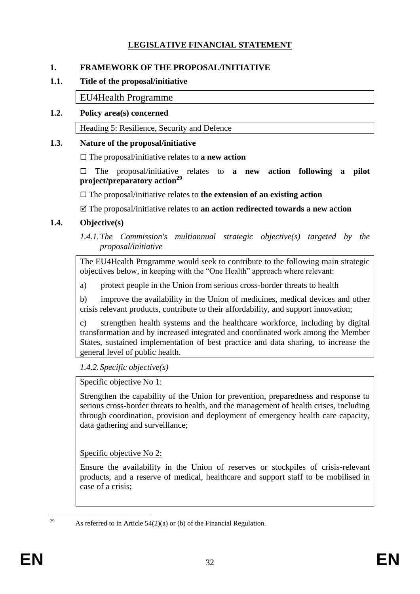# **LEGISLATIVE FINANCIAL STATEMENT**

## **1. FRAMEWORK OF THE PROPOSAL/INITIATIVE**

#### **1.1. Title of the proposal/initiative**

EU4Health Programme

## **1.2. Policy area(s) concerned**

Heading 5: Resilience, Security and Defence

## **1.3. Nature of the proposal/initiative**

The proposal/initiative relates to **a new action**

 The proposal/initiative relates to **a new action following a pilot project/preparatory action<sup>29</sup>**

The proposal/initiative relates to **the extension of an existing action**

The proposal/initiative relates to **an action redirected towards a new action**

## **1.4. Objective(s)**

*1.4.1.The Commission's multiannual strategic objective(s) targeted by the proposal/initiative* 

The EU4Health Programme would seek to contribute to the following main strategic objectives below, in keeping with the "One Health" approach where relevant:

a) protect people in the Union from serious cross-border threats to health

b) improve the availability in the Union of medicines, medical devices and other crisis relevant products, contribute to their affordability, and support innovation;

c) strengthen health systems and the healthcare workforce, including by digital transformation and by increased integrated and coordinated work among the Member States, sustained implementation of best practice and data sharing, to increase the general level of public health.

*1.4.2.Specific objective(s)*

Specific objective No 1:

Strengthen the capability of the Union for prevention, preparedness and response to serious cross-border threats to health, and the management of health crises, including through coordination, provision and deployment of emergency health care capacity, data gathering and surveillance;

Specific objective No 2:

Ensure the availability in the Union of reserves or stockpiles of crisis-relevant products, and a reserve of medical, healthcare and support staff to be mobilised in case of a crisis;

<sup>29</sup> 

As referred to in Article  $54(2)(a)$  or (b) of the Financial Regulation.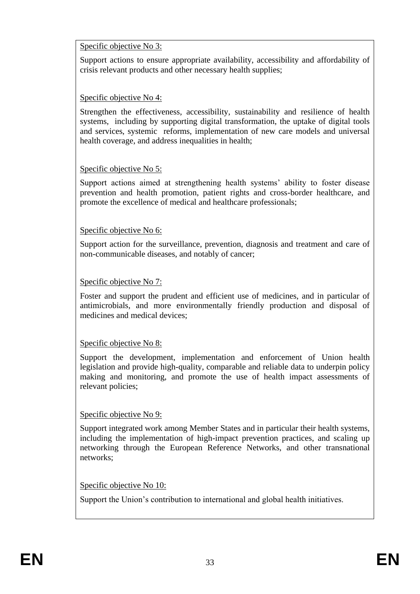## Specific objective No 3:

Support actions to ensure appropriate availability, accessibility and affordability of crisis relevant products and other necessary health supplies;

# Specific objective No 4:

Strengthen the effectiveness, accessibility, sustainability and resilience of health systems, including by supporting digital transformation, the uptake of digital tools and services, systemic reforms, implementation of new care models and universal health coverage, and address inequalities in health;

# Specific objective No 5:

Support actions aimed at strengthening health systems' ability to foster disease prevention and health promotion, patient rights and cross-border healthcare, and promote the excellence of medical and healthcare professionals;

## Specific objective No 6:

Support action for the surveillance, prevention, diagnosis and treatment and care of non-communicable diseases, and notably of cancer;

## Specific objective No 7:

Foster and support the prudent and efficient use of medicines, and in particular of antimicrobials, and more environmentally friendly production and disposal of medicines and medical devices;

## Specific objective No 8:

Support the development, implementation and enforcement of Union health legislation and provide high-quality, comparable and reliable data to underpin policy making and monitoring, and promote the use of health impact assessments of relevant policies;

## Specific objective No 9:

Support integrated work among Member States and in particular their health systems, including the implementation of high-impact prevention practices, and scaling up networking through the European Reference Networks, and other transnational networks;

## Specific objective No 10:

Support the Union's contribution to international and global health initiatives.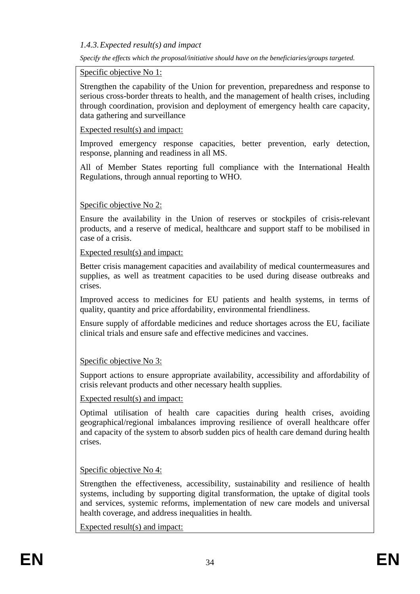## *1.4.3.Expected result(s) and impact*

*Specify the effects which the proposal/initiative should have on the beneficiaries/groups targeted.*

## Specific objective No 1:

Strengthen the capability of the Union for prevention, preparedness and response to serious cross-border threats to health, and the management of health crises, including through coordination, provision and deployment of emergency health care capacity, data gathering and surveillance

## Expected result(s) and impact:

Improved emergency response capacities, better prevention, early detection, response, planning and readiness in all MS.

All of Member States reporting full compliance with the International Health Regulations, through annual reporting to WHO.

# Specific objective No 2:

Ensure the availability in the Union of reserves or stockpiles of crisis-relevant products, and a reserve of medical, healthcare and support staff to be mobilised in case of a crisis.

Expected result(s) and impact:

Better crisis management capacities and availability of medical countermeasures and supplies, as well as treatment capacities to be used during disease outbreaks and crises.

Improved access to medicines for EU patients and health systems, in terms of quality, quantity and price affordability, environmental friendliness.

Ensure supply of affordable medicines and reduce shortages across the EU, faciliate clinical trials and ensure safe and effective medicines and vaccines.

# Specific objective No 3:

Support actions to ensure appropriate availability, accessibility and affordability of crisis relevant products and other necessary health supplies.

## Expected result(s) and impact:

Optimal utilisation of health care capacities during health crises, avoiding geographical/regional imbalances improving resilience of overall healthcare offer and capacity of the system to absorb sudden pics of health care demand during health crises.

## Specific objective No 4:

Strengthen the effectiveness, accessibility, sustainability and resilience of health systems, including by supporting digital transformation, the uptake of digital tools and services, systemic reforms, implementation of new care models and universal health coverage, and address inequalities in health.

Expected result(s) and impact: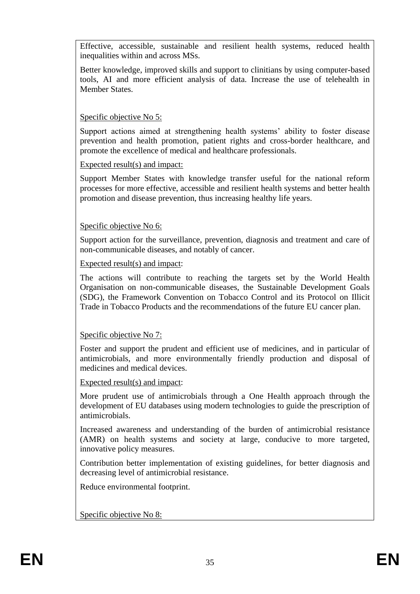Effective, accessible, sustainable and resilient health systems, reduced health inequalities within and across MSs.

Better knowledge, improved skills and support to clinitians by using computer-based tools, AI and more efficient analysis of data. Increase the use of telehealth in Member States.

## Specific objective No 5:

Support actions aimed at strengthening health systems' ability to foster disease prevention and health promotion, patient rights and cross-border healthcare, and promote the excellence of medical and healthcare professionals.

## Expected result(s) and impact:

Support Member States with knowledge transfer useful for the national reform processes for more effective, accessible and resilient health systems and better health promotion and disease prevention, thus increasing healthy life years.

## Specific objective No 6:

Support action for the surveillance, prevention, diagnosis and treatment and care of non-communicable diseases, and notably of cancer.

## Expected result(s) and impact:

The actions will contribute to reaching the targets set by the World Health Organisation on non-communicable diseases, the Sustainable Development Goals (SDG), the Framework Convention on Tobacco Control and its Protocol on Illicit Trade in Tobacco Products and the recommendations of the future EU cancer plan.

## Specific objective No 7:

Foster and support the prudent and efficient use of medicines, and in particular of antimicrobials, and more environmentally friendly production and disposal of medicines and medical devices.

#### Expected result(s) and impact:

More prudent use of antimicrobials through a One Health approach through the development of EU databases using modern technologies to guide the prescription of antimicrobials.

Increased awareness and understanding of the burden of antimicrobial resistance (AMR) on health systems and society at large, conducive to more targeted, innovative policy measures.

Contribution better implementation of existing guidelines, for better diagnosis and decreasing level of antimicrobial resistance.

Reduce environmental footprint.

Specific objective No 8: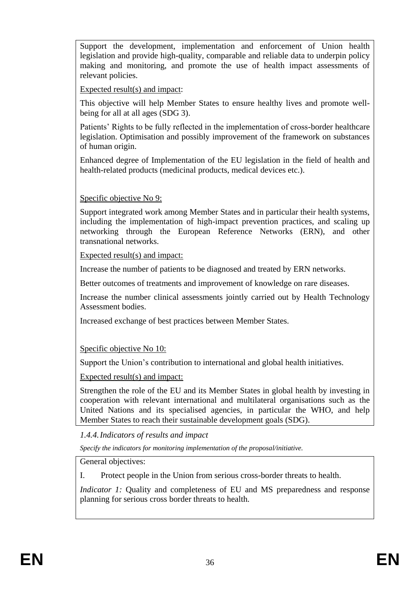Support the development, implementation and enforcement of Union health legislation and provide high-quality, comparable and reliable data to underpin policy making and monitoring, and promote the use of health impact assessments of relevant policies.

Expected result(s) and impact:

This objective will help Member States to ensure healthy lives and promote wellbeing for all at all ages (SDG 3).

Patients' Rights to be fully reflected in the implementation of cross-border healthcare legislation. Optimisation and possibly improvement of the framework on substances of human origin.

Enhanced degree of Implementation of the EU legislation in the field of health and health-related products (medicinal products, medical devices etc.).

# Specific objective No 9:

Support integrated work among Member States and in particular their health systems, including the implementation of high-impact prevention practices, and scaling up networking through the European Reference Networks (ERN), and other transnational networks.

Expected result(s) and impact:

Increase the number of patients to be diagnosed and treated by ERN networks.

Better outcomes of treatments and improvement of knowledge on rare diseases.

Increase the number clinical assessments jointly carried out by Health Technology Assessment bodies.

Increased exchange of best practices between Member States.

Specific objective No 10:

Support the Union's contribution to international and global health initiatives.

Expected result(s) and impact:

Strengthen the role of the EU and its Member States in global health by investing in cooperation with relevant international and multilateral organisations such as the United Nations and its specialised agencies, in particular the WHO, and help Member States to reach their sustainable development goals (SDG).

*1.4.4.Indicators of results and impact* 

*Specify the indicators for monitoring implementation of the proposal/initiative.*

General objectives:

I. Protect people in the Union from serious cross-border threats to health.

*Indicator 1:* Quality and completeness of EU and MS preparedness and response planning for serious cross border threats to health.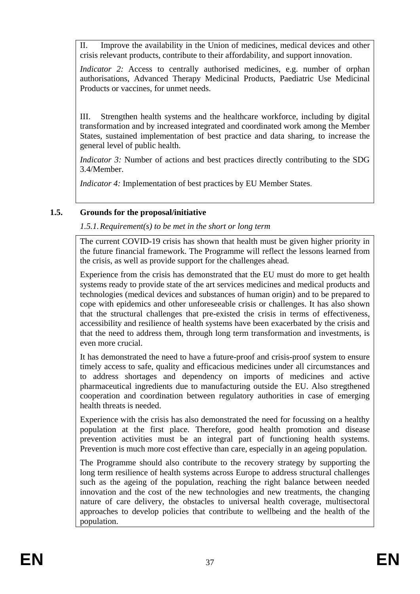II. Improve the availability in the Union of medicines, medical devices and other crisis relevant products, contribute to their affordability, and support innovation.

*Indicator 2:* Access to centrally authorised medicines, e.g. number of orphan authorisations, Advanced Therapy Medicinal Products, Paediatric Use Medicinal Products or vaccines, for unmet needs.

III. Strengthen health systems and the healthcare workforce, including by digital transformation and by increased integrated and coordinated work among the Member States, sustained implementation of best practice and data sharing, to increase the general level of public health.

*Indicator 3:* Number of actions and best practices directly contributing to the SDG 3.4/Member.

*Indicator 4:* Implementation of best practices by EU Member States.

# **1.5. Grounds for the proposal/initiative**

*1.5.1.Requirement(s) to be met in the short or long term* 

The current COVID-19 crisis has shown that health must be given higher priority in the future financial framework. The Programme will reflect the lessons learned from the crisis, as well as provide support for the challenges ahead.

Experience from the crisis has demonstrated that the EU must do more to get health systems ready to provide state of the art services medicines and medical products and technologies (medical devices and substances of human origin) and to be prepared to cope with epidemics and other unforeseeable crisis or challenges. It has also shown that the structural challenges that pre-existed the crisis in terms of effectiveness, accessibility and resilience of health systems have been exacerbated by the crisis and that the need to address them, through long term transformation and investments, is even more crucial.

It has demonstrated the need to have a future-proof and crisis-proof system to ensure timely access to safe, quality and efficacious medicines under all circumstances and to address shortages and dependency on imports of medicines and active pharmaceutical ingredients due to manufacturing outside the EU. Also stregthened cooperation and coordination between regulatory authorities in case of emerging health threats is needed.

Experience with the crisis has also demonstrated the need for focussing on a healthy population at the first place. Therefore, good health promotion and disease prevention activities must be an integral part of functioning health systems. Prevention is much more cost effective than care, especially in an ageing population.

The Programme should also contribute to the recovery strategy by supporting the long term resilience of health systems across Europe to address structural challenges such as the ageing of the population, reaching the right balance between needed innovation and the cost of the new technologies and new treatments, the changing nature of care delivery, the obstacles to universal health coverage, multisectoral approaches to develop policies that contribute to wellbeing and the health of the population.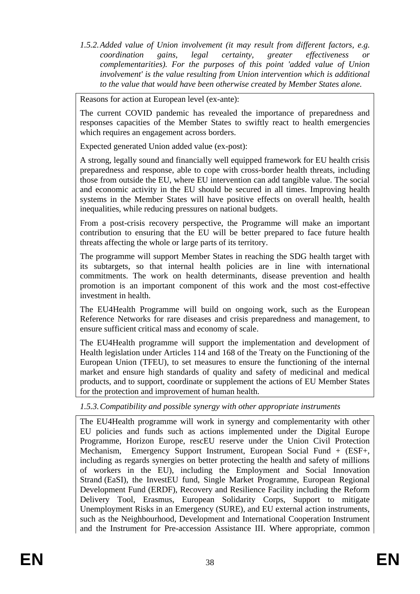*1.5.2.Added value of Union involvement (it may result from different factors, e.g. coordination gains, legal certainty, greater effectiveness or complementarities). For the purposes of this point 'added value of Union involvement' is the value resulting from Union intervention which is additional to the value that would have been otherwise created by Member States alone.*

Reasons for action at European level (ex-ante):

The current COVID pandemic has revealed the importance of preparedness and responses capacities of the Member States to swiftly react to health emergencies which requires an engagement across borders.

Expected generated Union added value (ex-post):

A strong, legally sound and financially well equipped framework for EU health crisis preparedness and response, able to cope with cross-border health threats, including those from outside the EU, where EU intervention can add tangible value. The social and economic activity in the EU should be secured in all times. Improving health systems in the Member States will have positive effects on overall health, health inequalities, while reducing pressures on national budgets.

From a post-crisis recovery perspective, the Programme will make an important contribution to ensuring that the EU will be better prepared to face future health threats affecting the whole or large parts of its territory.

The programme will support Member States in reaching the SDG health target with its subtargets, so that internal health policies are in line with international commitments. The work on health determinants, disease prevention and health promotion is an important component of this work and the most cost-effective investment in health.

The EU4Health Programme will build on ongoing work, such as the European Reference Networks for rare diseases and crisis preparedness and management, to ensure sufficient critical mass and economy of scale.

The EU4Health programme will support the implementation and development of Health legislation under Articles 114 and 168 of the Treaty on the Functioning of the European Union (TFEU), to set measures to ensure the functioning of the internal market and ensure high standards of quality and safety of medicinal and medical products, and to support, coordinate or supplement the actions of EU Member States for the protection and improvement of human health.

## *1.5.3.Compatibility and possible synergy with other appropriate instruments*

The EU4Health programme will work in synergy and complementarity with other EU policies and funds such as actions implemented under the Digital Europe Programme, Horizon Europe, rescEU reserve under the Union Civil Protection Mechanism, Emergency Support Instrument, European Social Fund + (ESF+, including as regards synergies on better protecting the health and safety of millions of workers in the EU), including the Employment and Social Innovation Strand (EaSI), the InvestEU fund, Single Market Programme, European Regional Development Fund (ERDF), Recovery and Resilience Facility including the Reform Delivery Tool, Erasmus, European Solidarity Corps, Support to mitigate Unemployment Risks in an Emergency (SURE), and EU external action instruments, such as the Neighbourhood, Development and International Cooperation Instrument and the Instrument for Pre-accession Assistance III. Where appropriate, common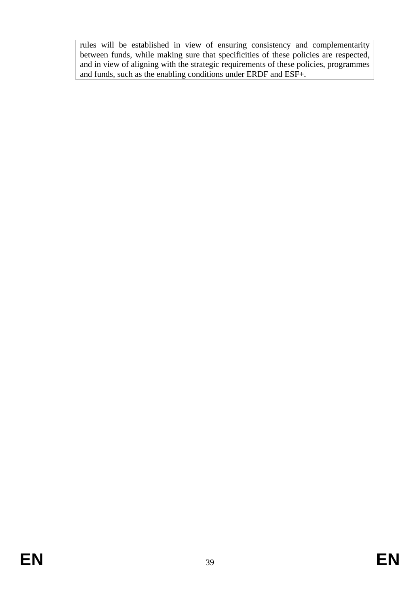rules will be established in view of ensuring consistency and complementarity between funds, while making sure that specificities of these policies are respected, and in view of aligning with the strategic requirements of these policies, programmes and funds, such as the enabling conditions under ERDF and ESF+.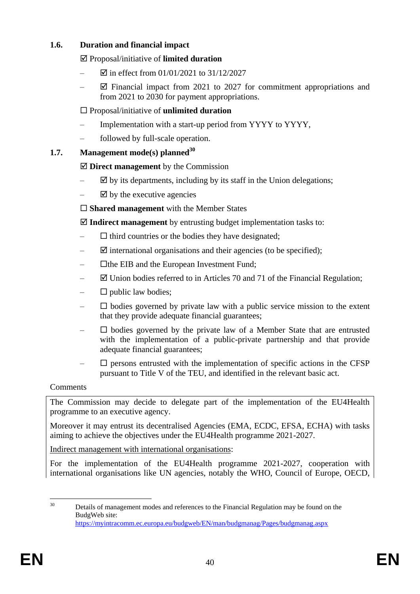# **1.6. Duration and financial impact**

Proposal/initiative of **limited duration** 

- $\Xi$  in effect from 01/01/2021 to 31/12/2027
- $\boxtimes$  Financial impact from 2021 to 2027 for commitment appropriations and from 2021 to 2030 for payment appropriations.

# Proposal/initiative of **unlimited duration**

- Implementation with a start-up period from YYYY to YYYY,
- followed by full-scale operation.

# **1.7. Management mode(s) planned<sup>30</sup>**

# **Direct management** by the Commission

- $\boxtimes$  by its departments, including by its staff in the Union delegations;
- $\boxtimes$  by the executive agencies

**Shared management** with the Member States

**Indirect management** by entrusting budget implementation tasks to:

- $\Box$  third countries or the bodies they have designated;
- $\Box$  international organisations and their agencies (to be specified);
- $\Box$  the EIB and the European Investment Fund;
- $\boxtimes$  Union bodies referred to in Articles 70 and 71 of the Financial Regulation;
- $\square$  public law bodies;
- $\square$  bodies governed by private law with a public service mission to the extent that they provide adequate financial guarantees;
- $\square$  bodies governed by the private law of a Member State that are entrusted with the implementation of a public-private partnership and that provide adequate financial guarantees;
- $\Box$  persons entrusted with the implementation of specific actions in the CFSP pursuant to Title V of the TEU, and identified in the relevant basic act.

## Comments

The Commission may decide to delegate part of the implementation of the EU4Health programme to an executive agency.

Moreover it may entrust its decentralised Agencies (EMA, ECDC, EFSA, ECHA) with tasks aiming to achieve the objectives under the EU4Health programme 2021-2027.

Indirect management with international organisations:

For the implementation of the EU4Health programme 2021-2027, cooperation with international organisations like UN agencies, notably the WHO, Council of Europe, OECD,

 $30^{\circ}$ Details of management modes and references to the Financial Regulation may be found on the BudgWeb site: <https://myintracomm.ec.europa.eu/budgweb/EN/man/budgmanag/Pages/budgmanag.aspx>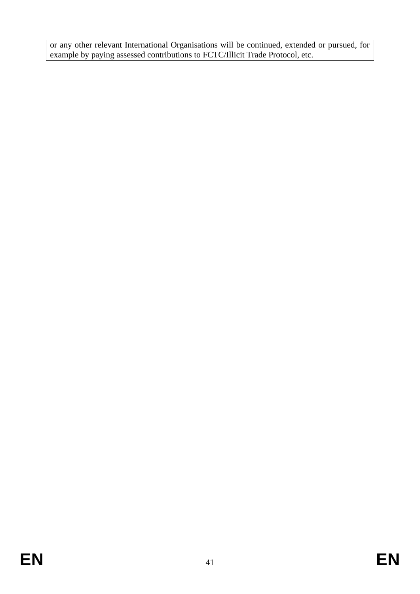or any other relevant International Organisations will be continued, extended or pursued, for example by paying assessed contributions to FCTC/Illicit Trade Protocol, etc.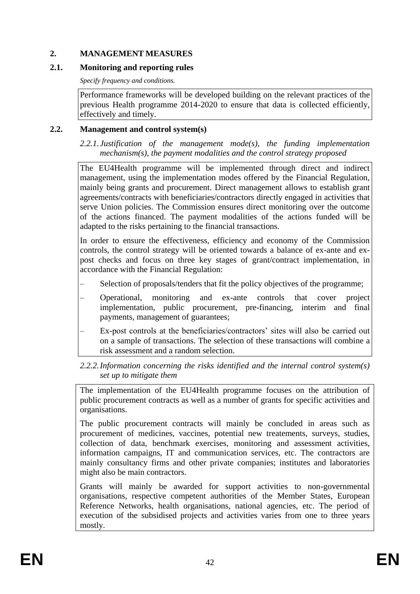## **2. MANAGEMENT MEASURES**

## **2.1. Monitoring and reporting rules**

*Specify frequency and conditions.*

Performance frameworks will be developed building on the relevant practices of the previous Health programme 2014-2020 to ensure that data is collected efficiently, effectively and timely.

## **2.2. Management and control system(s)**

*2.2.1. Justification of the management mode(s), the funding implementation mechanism(s), the payment modalities and the control strategy proposed*

The EU4Health programme will be implemented through direct and indirect management, using the implementation modes offered by the Financial Regulation, mainly being grants and procurement. Direct management allows to establish grant agreements/contracts with beneficiaries/contractors directly engaged in activities that serve Union policies. The Commission ensures direct monitoring over the outcome of the actions financed. The payment modalities of the actions funded will be adapted to the risks pertaining to the financial transactions.

In order to ensure the effectiveness, efficiency and economy of the Commission controls, the control strategy will be oriented towards a balance of ex-ante and expost checks and focus on three key stages of grant/contract implementation, in accordance with the Financial Regulation:

- Selection of proposals/tenders that fit the policy objectives of the programme;
- Operational, monitoring and ex-ante controls that cover project implementation, public procurement, pre-financing, interim and final payments, management of guarantees;
- Ex-post controls at the beneficiaries/contractors' sites will also be carried out on a sample of transactions. The selection of these transactions will combine a risk assessment and a random selection.

## *2.2.2.Information concerning the risks identified and the internal control system(s) set up to mitigate them*

The implementation of the EU4Health programme focuses on the attribution of public procurement contracts as well as a number of grants for specific activities and organisations.

The public procurement contracts will mainly be concluded in areas such as procurement of medicines, vaccines, potential new treatements, surveys, studies, collection of data, benchmark exercises, monitoring and assessment activities, information campaigns, IT and communication services, etc. The contractors are mainly consultancy firms and other private companies; institutes and laboratories might also be main contractors.

Grants will mainly be awarded for support activities to non-governmental organisations, respective competent authorities of the Member States, European Reference Networks, health organisations, national agencies, etc. The period of execution of the subsidised projects and activities varies from one to three years mostly.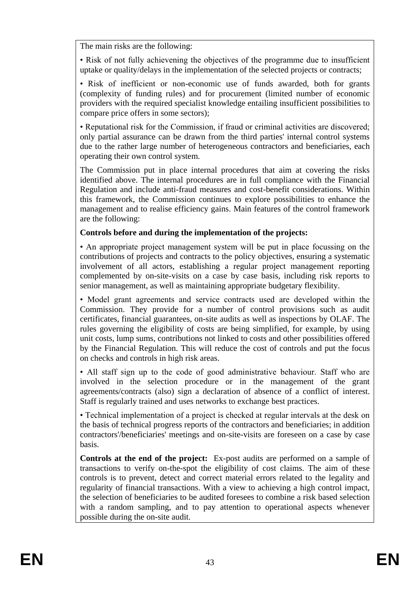The main risks are the following:

• Risk of not fully achievening the objectives of the programme due to insufficient uptake or quality/delays in the implementation of the selected projects or contracts;

• Risk of inefficient or non-economic use of funds awarded, both for grants (complexity of funding rules) and for procurement (limited number of economic providers with the required specialist knowledge entailing insufficient possibilities to compare price offers in some sectors);

• Reputational risk for the Commission, if fraud or criminal activities are discovered; only partial assurance can be drawn from the third parties' internal control systems due to the rather large number of heterogeneous contractors and beneficiaries, each operating their own control system.

The Commission put in place internal procedures that aim at covering the risks identified above. The internal procedures are in full compliance with the Financial Regulation and include anti-fraud measures and cost-benefit considerations. Within this framework, the Commission continues to explore possibilities to enhance the management and to realise efficiency gains. Main features of the control framework are the following:

## **Controls before and during the implementation of the projects:**

• An appropriate project management system will be put in place focussing on the contributions of projects and contracts to the policy objectives, ensuring a systematic involvement of all actors, establishing a regular project management reporting complemented by on-site-visits on a case by case basis, including risk reports to senior management, as well as maintaining appropriate budgetary flexibility.

• Model grant agreements and service contracts used are developed within the Commission. They provide for a number of control provisions such as audit certificates, financial guarantees, on-site audits as well as inspections by OLAF. The rules governing the eligibility of costs are being simplified, for example, by using unit costs, lump sums, contributions not linked to costs and other possibilities offered by the Financial Regulation. This will reduce the cost of controls and put the focus on checks and controls in high risk areas.

• All staff sign up to the code of good administrative behaviour. Staff who are involved in the selection procedure or in the management of the grant agreements/contracts (also) sign a declaration of absence of a conflict of interest. Staff is regularly trained and uses networks to exchange best practices.

• Technical implementation of a project is checked at regular intervals at the desk on the basis of technical progress reports of the contractors and beneficiaries; in addition contractors'/beneficiaries' meetings and on-site-visits are foreseen on a case by case basis.

**Controls at the end of the project:** Ex-post audits are performed on a sample of transactions to verify on-the-spot the eligibility of cost claims. The aim of these controls is to prevent, detect and correct material errors related to the legality and regularity of financial transactions. With a view to achieving a high control impact, the selection of beneficiaries to be audited foresees to combine a risk based selection with a random sampling, and to pay attention to operational aspects whenever possible during the on-site audit.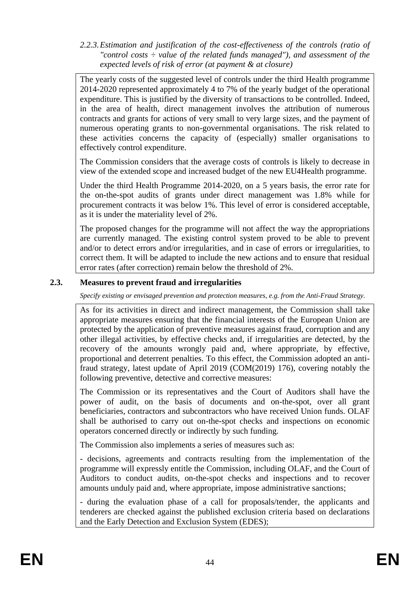*2.2.3.Estimation and justification of the cost-effectiveness of the controls (ratio of "control costs ÷ value of the related funds managed"), and assessment of the expected levels of risk of error (at payment & at closure)* 

The yearly costs of the suggested level of controls under the third Health programme 2014-2020 represented approximately 4 to 7% of the yearly budget of the operational expenditure. This is justified by the diversity of transactions to be controlled. Indeed, in the area of health, direct management involves the attribution of numerous contracts and grants for actions of very small to very large sizes, and the payment of numerous operating grants to non-governmental organisations. The risk related to these activities concerns the capacity of (especially) smaller organisations to effectively control expenditure.

The Commission considers that the average costs of controls is likely to decrease in view of the extended scope and increased budget of the new EU4Health programme.

Under the third Health Programme 2014-2020, on a 5 years basis, the error rate for the on-the-spot audits of grants under direct management was 1.8% while for procurement contracts it was below 1%. This level of error is considered acceptable, as it is under the materiality level of 2%.

The proposed changes for the programme will not affect the way the appropriations are currently managed. The existing control system proved to be able to prevent and/or to detect errors and/or irregularities, and in case of errors or irregularities, to correct them. It will be adapted to include the new actions and to ensure that residual error rates (after correction) remain below the threshold of 2%.

## **2.3. Measures to prevent fraud and irregularities**

*Specify existing or envisaged prevention and protection measures, e.g. from the Anti-Fraud Strategy.*

As for its activities in direct and indirect management, the Commission shall take appropriate measures ensuring that the financial interests of the European Union are protected by the application of preventive measures against fraud, corruption and any other illegal activities, by effective checks and, if irregularities are detected, by the recovery of the amounts wrongly paid and, where appropriate, by effective, proportional and deterrent penalties. To this effect, the Commission adopted an antifraud strategy, latest update of April 2019 (COM(2019) 176), covering notably the following preventive, detective and corrective measures:

The Commission or its representatives and the Court of Auditors shall have the power of audit, on the basis of documents and on-the-spot, over all grant beneficiaries, contractors and subcontractors who have received Union funds. OLAF shall be authorised to carry out on-the-spot checks and inspections on economic operators concerned directly or indirectly by such funding.

The Commission also implements a series of measures such as:

- decisions, agreements and contracts resulting from the implementation of the programme will expressly entitle the Commission, including OLAF, and the Court of Auditors to conduct audits, on-the-spot checks and inspections and to recover amounts unduly paid and, where appropriate, impose administrative sanctions;

- during the evaluation phase of a call for proposals/tender, the applicants and tenderers are checked against the published exclusion criteria based on declarations and the Early Detection and Exclusion System (EDES);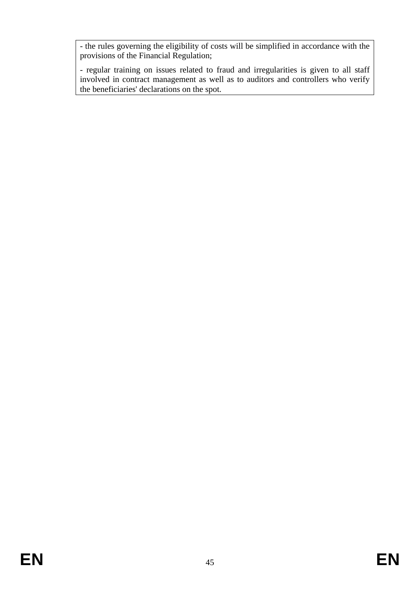- the rules governing the eligibility of costs will be simplified in accordance with the provisions of the Financial Regulation;

- regular training on issues related to fraud and irregularities is given to all staff involved in contract management as well as to auditors and controllers who verify the beneficiaries' declarations on the spot.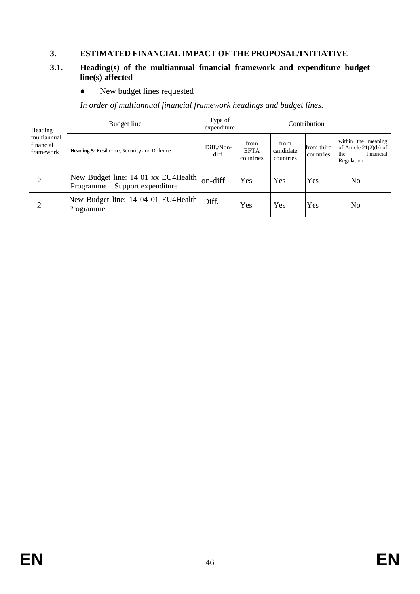## **3. ESTIMATED FINANCIAL IMPACT OF THE PROPOSAL/INITIATIVE**

## **3.1. Heading(s) of the multiannual financial framework and expenditure budget line(s) affected**

• New budget lines requested

*In order of multiannual financial framework headings and budget lines.*

| Heading                               | Budget line                                                            | Type of<br>expenditure |                                  |                                | Contribution            |                                                                                  |
|---------------------------------------|------------------------------------------------------------------------|------------------------|----------------------------------|--------------------------------|-------------------------|----------------------------------------------------------------------------------|
| multiannual<br>financial<br>framework | <b>Heading 5: Resilience, Security and Defence</b>                     | Diff./Non-<br>diff.    | from<br><b>EFTA</b><br>countries | from<br>candidate<br>countries | from third<br>countries | within the meaning<br>of Article $21(2)(b)$ of<br>Financial<br>the<br>Regulation |
| 2                                     | New Budget line: 14 01 xx EU4Health<br>Programme – Support expenditure | on-diff.               | Yes                              | Yes                            | Yes                     | No                                                                               |
| 2                                     | New Budget line: 14 04 01 EU4Health<br>Programme                       | Diff.                  | Yes                              | Yes                            | Yes                     | No                                                                               |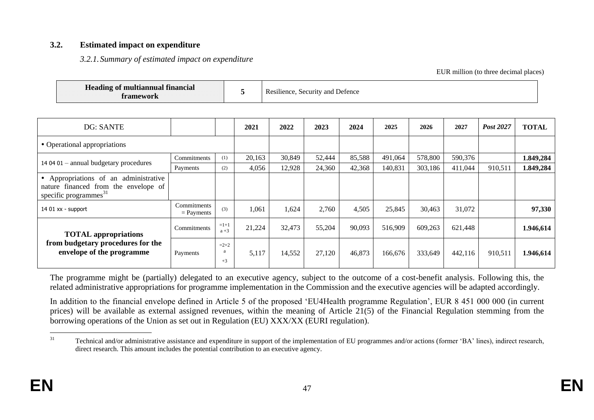#### **3.2. Estimated impact on expenditure**

*3.2.1.Summary of estimated impact on expenditure* 

EUR million (to three decimal places)

| <b>Heading of multiannual financial</b><br>ramework |  | $\cdots$<br>Resilience, Security and Defence |
|-----------------------------------------------------|--|----------------------------------------------|
|-----------------------------------------------------|--|----------------------------------------------|

| <b>DG: SANTE</b>                                                                                           |                             |                   | 2021   | 2022   | 2023   | 2024   | 2025    | 2026    | 2027    | Post 2027 | <b>TOTAL</b> |
|------------------------------------------------------------------------------------------------------------|-----------------------------|-------------------|--------|--------|--------|--------|---------|---------|---------|-----------|--------------|
| • Operational appropriations                                                                               |                             |                   |        |        |        |        |         |         |         |           |              |
| 14 04 01 - annual budgetary procedures                                                                     | Commitments                 | (1)               | 20,163 | 30,849 | 52,444 | 85,588 | 491,064 | 578,800 | 590,376 |           | 1.849,284    |
|                                                                                                            | Payments                    | (2)               | 4,056  | 12,928 | 24,360 | 42,368 | 140,831 | 303,186 | 411,044 | 910,511   | 1.849,284    |
| Appropriations of an administrative<br>nature financed from the envelope of<br>specific programmes $^{31}$ |                             |                   |        |        |        |        |         |         |         |           |              |
| 14 01 xx - support                                                                                         | Commitments<br>$=$ Payments | (3)               | 1,061  | 1,624  | 2,760  | 4,505  | 25,845  | 30,463  | 31,072  |           | 97,330       |
| <b>TOTAL</b> appropriations                                                                                | Commitments                 | $=1+1$<br>$a + 3$ | 21,224 | 32,473 | 55,204 | 90,093 | 516,909 | 609,263 | 621,448 |           | 1.946,614    |
| from budgetary procedures for the<br>envelope of the programme                                             | Payments                    | $=2+2$<br>$+3$    | 5,117  | 14,552 | 27,120 | 46,873 | 166,676 | 333,649 | 442,116 | 910,511   | 1.946,614    |

The programme might be (partially) delegated to an executive agency, subject to the outcome of a cost-benefit analysis. Following this, the related administrative appropriations for programme implementation in the Commission and the executive agencies will be adapted accordingly.

In addition to the financial envelope defined in Article 5 of the proposed 'EU4Health programme Regulation', EUR 8 451 000 000 (in current prices) will be available as external assigned revenues, within the meaning of Article 21(5) of the Financial Regulation stemming from the borrowing operations of the Union as set out in Regulation (EU) XXX/XX (EURI regulation).

 $31$ Technical and/or administrative assistance and expenditure in support of the implementation of EU programmes and/or actions (former 'BA' lines), indirect research, direct research. This amount includes the potential contribution to an executive agency.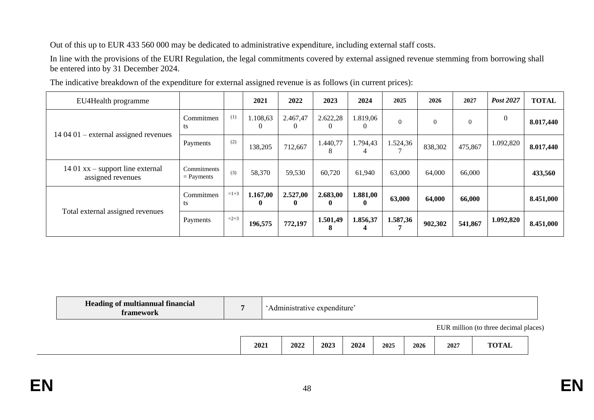Out of this up to EUR 433 560 000 may be dedicated to administrative expenditure, including external staff costs.

In line with the provisions of the EURI Regulation, the legal commitments covered by external assigned revenue stemming from borrowing shall be entered into by 31 December 2024.

| EU4Health programme                                     |                             |        | 2021                     | 2022          | 2023          | 2024                 | 2025     | 2026           | 2027           | Post 2027    | <b>TOTAL</b> |
|---------------------------------------------------------|-----------------------------|--------|--------------------------|---------------|---------------|----------------------|----------|----------------|----------------|--------------|--------------|
|                                                         | Commitmen<br>ts             | (1)    | 1.108,63                 | 2.467,47<br>0 | 2.622,28      | 1.819,06             | $\Omega$ | $\overline{0}$ | $\overline{0}$ | $\mathbf{0}$ | 8.017,440    |
| $140401$ – external assigned revenues                   | Payments                    | (2)    | 138,205                  | 712,667       | 1.440,77<br>8 | 1.794,43<br>4        | 1.524,36 | 838,302        | 475,867        | 1.092,820    | 8.017,440    |
| 14 01 $xx$ – support line external<br>assigned revenues | Commitments<br>$=$ Payments | (3)    | 58,370                   | 59,530        | 60,720        | 61,940               | 63,000   | 64,000         | 66,000         |              | 433,560      |
| Total external assigned revenues                        | Commitmen<br>ts             | $=1+3$ | 1.167,00<br>$\mathbf{0}$ | 2.527,00<br>0 | 2.683,00<br>0 | 1.881,00<br>$\bf{0}$ | 63,000   | 64,000         | 66,000         |              | 8.451,000    |
|                                                         | Payments                    | $=2+3$ | 196,575                  | 772,197       | 1.501,49<br>8 | 1.856,37             | 1.587,36 | 902,302        | 541,867        | 1.092,820    | 8.451,000    |

The indicative breakdown of the expenditure for external assigned revenue is as follows (in current prices):

| <b>Heading of multiannual financial</b><br>framework | 'Administrative expenditure' |      |      |      |      |      |      |                                       |  |
|------------------------------------------------------|------------------------------|------|------|------|------|------|------|---------------------------------------|--|
|                                                      |                              |      |      |      |      |      |      | EUR million (to three decimal places) |  |
|                                                      | 2021                         | 2022 | 2023 | 2024 | 2025 | 2026 | 2027 | <b>TOTAL</b>                          |  |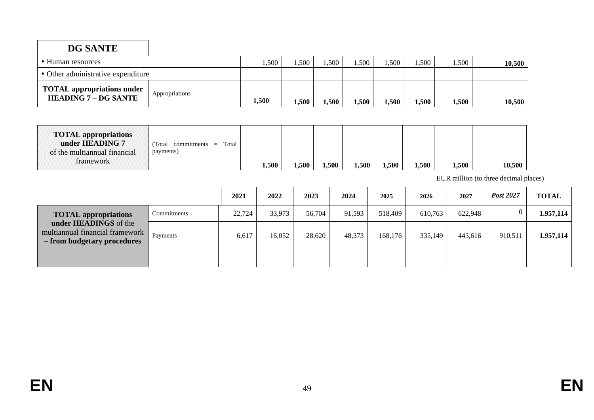| <b>DG SANTE</b>                                                  |                |       |       |       |       |         |       |       |        |
|------------------------------------------------------------------|----------------|-------|-------|-------|-------|---------|-------|-------|--------|
| • Human resources                                                |                | .500  | .,500 | ,500  | .500  | ,500    | 1,500 | 1,500 | 10,500 |
| • Other administrative expenditure                               |                |       |       |       |       |         |       |       |        |
| <b>TOTAL</b> appropriations under<br><b>HEADING 7 - DG SANTE</b> | Appropriations | 1,500 | .,500 | 1,500 | 1,500 | $-.500$ | 1,500 | 1,500 | 10,500 |

| <b>TOTAL appropriations</b><br>under HEADING 7<br>of the multiannual financial | Total<br>Total<br>commitments<br>$=$<br>payments) |       |       |       |       |       |       |       |        |
|--------------------------------------------------------------------------------|---------------------------------------------------|-------|-------|-------|-------|-------|-------|-------|--------|
| framework                                                                      |                                                   | 1,500 | .,500 | 1,500 | 1,500 | .,500 | 1,500 | 1,500 | 10,500 |

EUR million (to three decimal places)

|                                                                                         |             | 2021   | 2022   | 2023   | 2024   | 2025    | 2026    | 2027    | Post 2027 | <b>TOTAL</b> |
|-----------------------------------------------------------------------------------------|-------------|--------|--------|--------|--------|---------|---------|---------|-----------|--------------|
| <b>TOTAL appropriations</b>                                                             | Commitments | 22,724 | 33,973 | 56,704 | 91.593 | 518,409 | 610,763 | 622,948 |           | 1.957,114    |
| under HEADINGS of the<br>multiannual financial framework<br>- from budgetary procedures | Payments    | 6,617  | 16,052 | 28,620 | 48,373 | 168,176 | 335,149 | 443,616 | 910,511   | 1.957,114    |
|                                                                                         |             |        |        |        |        |         |         |         |           |              |

 $\Gamma$ 

┑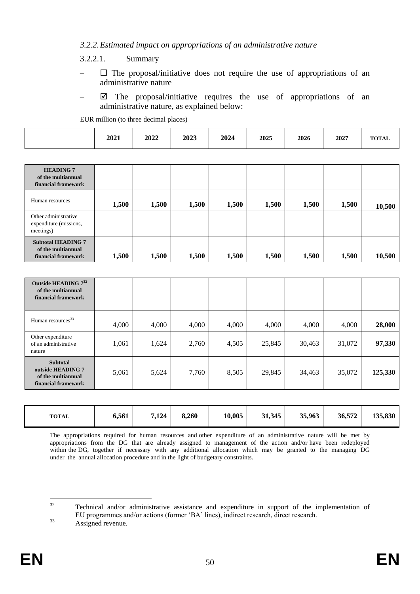#### *3.2.2.Estimated impact on appropriations of an administrative nature*

3.2.2.1. Summary

- $-\Box$  The proposal/initiative does not require the use of appropriations of an administrative nature
- $\boxtimes$  The proposal/initiative requires the use of appropriations of an administrative nature, as explained below:

EUR million (to three decimal places)

| 2021 | 2022 | 2023 | 2024 | 2025 | 2026 | 2027 | <b>ELORE</b> A<br>1 A.L |
|------|------|------|------|------|------|------|-------------------------|
|      |      |      |      |      |      |      |                         |

| <b>HEADING 7</b><br>of the multiannual<br>financial framework          |       |       |       |       |       |       |       |        |
|------------------------------------------------------------------------|-------|-------|-------|-------|-------|-------|-------|--------|
| Human resources                                                        | 1,500 | 1,500 | 1,500 | 1,500 | 1,500 | 1,500 | 1,500 | 10,500 |
| Other administrative<br>expenditure (missions,<br>meetings)            |       |       |       |       |       |       |       |        |
| <b>Subtotal HEADING 7</b><br>of the multiannual<br>financial framework | 1,500 | 1,500 | 1,500 | 1,500 | 1,500 | 1,500 | 1,500 | 10,500 |

| Outside HEADING $7^{32}$<br>of the multiannual<br>financial framework             |       |       |       |       |        |        |        |         |
|-----------------------------------------------------------------------------------|-------|-------|-------|-------|--------|--------|--------|---------|
| Human resources <sup>33</sup>                                                     | 4,000 | 4,000 | 4,000 | 4,000 | 4,000  | 4,000  | 4,000  | 28,000  |
| Other expenditure<br>of an administrative<br>nature                               | 1,061 | 1,624 | 2,760 | 4,505 | 25,845 | 30,463 | 31,072 | 97,330  |
| <b>Subtotal</b><br>outside HEADING 7<br>of the multiannual<br>financial framework | 5,061 | 5,624 | 7,760 | 8,505 | 29,845 | 34,463 | 35,072 | 125,330 |

| <b>TOTAL</b> | 6,561 | 7,124 | 8,260 | 10,005 | 31,345 | 35,963 | 36,572 | 135,830 |
|--------------|-------|-------|-------|--------|--------|--------|--------|---------|
|--------------|-------|-------|-------|--------|--------|--------|--------|---------|

The appropriations required for human resources and other expenditure of an administrative nature will be met by appropriations from the DG that are already assigned to management of the action and/or have been redeployed within the DG, together if necessary with any additional allocation which may be granted to the managing DG under the annual allocation procedure and in the light of budgetary constraints.

 $32$ <sup>32</sup> Technical and/or administrative assistance and expenditure in support of the implementation of EU programmes and/or actions (former 'BA' lines), indirect research, direct research. <sup>33</sup> Assigned revenue.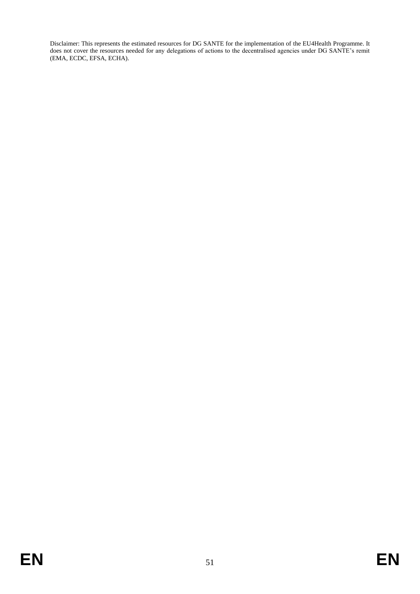Disclaimer: This represents the estimated resources for DG SANTE for the implementation of the EU4Health Programme. It does not cover the resources needed for any delegations of actions to the decentralised agencies under DG SANTE's remit (EMA, ECDC, EFSA, ECHA).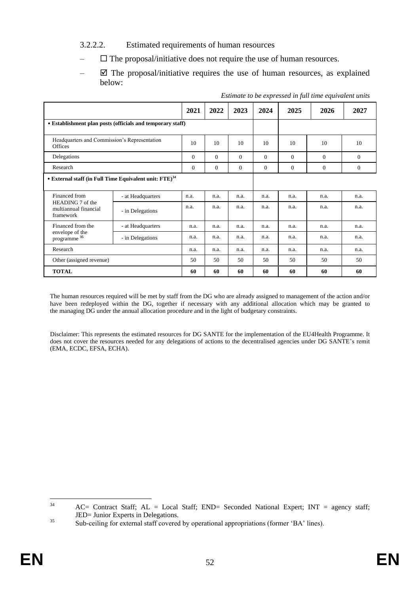- 3.2.2.2. Estimated requirements of human resources
- $\Box$  The proposal/initiative does not require the use of human resources.
- $\boxtimes$  The proposal/initiative requires the use of human resources, as explained below:

|                                                                         |                   | 2021         | 2022     | 2023     | 2024     | 2025     | 2026     | 2027           |
|-------------------------------------------------------------------------|-------------------|--------------|----------|----------|----------|----------|----------|----------------|
| • Establishment plan posts (officials and temporary staff)              |                   |              |          |          |          |          |          |                |
| Headquarters and Commission's Representation<br><b>Offices</b>          |                   | 10           | 10       | 10       | 10       | 10       | 10       | 10             |
| Delegations                                                             |                   | $\mathbf{0}$ | $\theta$ | $\theta$ | $\Omega$ | $\Omega$ | $\Omega$ | $\overline{0}$ |
| Research                                                                |                   | $\mathbf{0}$ | $\theta$ | $\theta$ | $\Omega$ | $\Omega$ | $\Omega$ | $\overline{0}$ |
| • External staff (in Full Time Equivalent unit: FTE) <sup>34</sup>      |                   |              |          |          |          |          |          |                |
| Financed from<br>HEADING 7 of the<br>multiannual financial<br>framework | - at Headquarters | n.a.         | n.a.     | n.a.     | n.a.     | n.a.     | n.a.     | n.a.           |
|                                                                         | - in Delegations  | n.a.         | n.a.     | n.a.     | n.a.     | n.a.     | n.a.     | n.a.           |
| Financed from the<br>envelope of the<br>programme <sup>35</sup>         | - at Headquarters | n.a.         | n.a.     | n.a.     | n.a.     | n.a.     | n.a.     | n.a.           |
|                                                                         | - in Delegations  | n.a.         | n.a.     | n.a.     | n.a.     | n.a.     | n.a.     | n.a.           |
| Research                                                                |                   | n.a.         | n.a.     | n.a.     | n.a.     | n.a.     | n.a.     | n.a.           |
| Other (assigned revenue)                                                |                   | 50           | 50       | 50       | 50       | 50       | 50       | 50             |
| <b>TOTAL</b>                                                            |                   | 60           | 60       | 60       | 60       | 60       | 60       | 60             |

*Estimate to be expressed in full time equivalent units*

The human resources required will be met by staff from the DG who are already assigned to management of the action and/or have been redeployed within the DG, together if necessary with any additional allocation which may be granted to the managing DG under the annual allocation procedure and in the light of budgetary constraints.

Disclaimer: This represents the estimated resources for DG SANTE for the implementation of the EU4Health Programme. It does not cover the resources needed for any delegations of actions to the decentralised agencies under DG SANTE's remit (EMA, ECDC, EFSA, ECHA).

 $34$  $AC=$  Contract Staff;  $AL = Local$  Staff;  $END=$  Seconded National Expert; INT = agency staff; JED= Junior Experts in Delegations.

<sup>&</sup>lt;sup>35</sup> Sub-ceiling for external staff covered by operational appropriations (former 'BA' lines).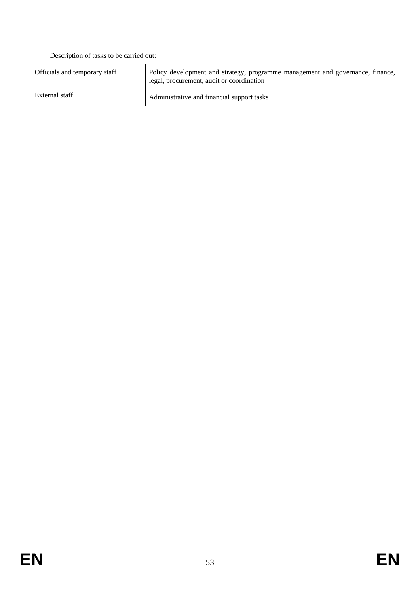Description of tasks to be carried out:

| Officials and temporary staff | Policy development and strategy, programme management and governance, finance,<br>legal, procurement, audit or coordination |
|-------------------------------|-----------------------------------------------------------------------------------------------------------------------------|
| External staff                | Administrative and financial support tasks                                                                                  |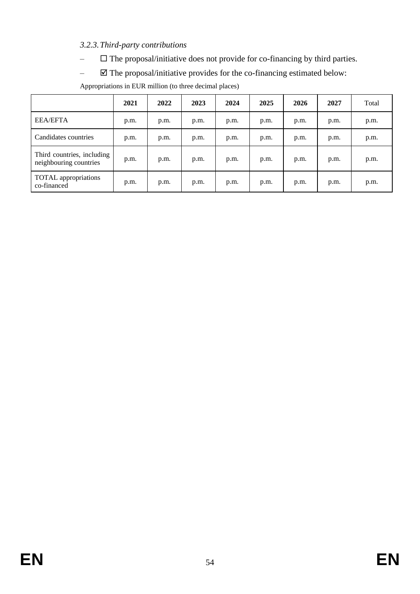## *3.2.3.Third-party contributions*

- $\Box$  The proposal/initiative does not provide for co-financing by third parties.
- $\boxtimes$  The proposal/initiative provides for the co-financing estimated below:

|                                                      | 2021 | 2022 | 2023 | 2024 | 2025 | 2026 | 2027 | Total |
|------------------------------------------------------|------|------|------|------|------|------|------|-------|
| <b>EEA/EFTA</b>                                      | p.m. | p.m. | p.m. | p.m. | p.m. | p.m. | p.m. | p.m.  |
| Candidates countries                                 | p.m. | p.m. | p.m. | p.m. | p.m. | p.m. | p.m. | p.m.  |
| Third countries, including<br>neighbouring countries | p.m. | p.m. | p.m. | p.m. | p.m. | p.m. | p.m. | p.m.  |
| <b>TOTAL</b> appropriations<br>co-financed           | p.m. | p.m. | p.m. | p.m. | p.m. | p.m. | p.m. | p.m.  |

Appropriations in EUR million (to three decimal places)